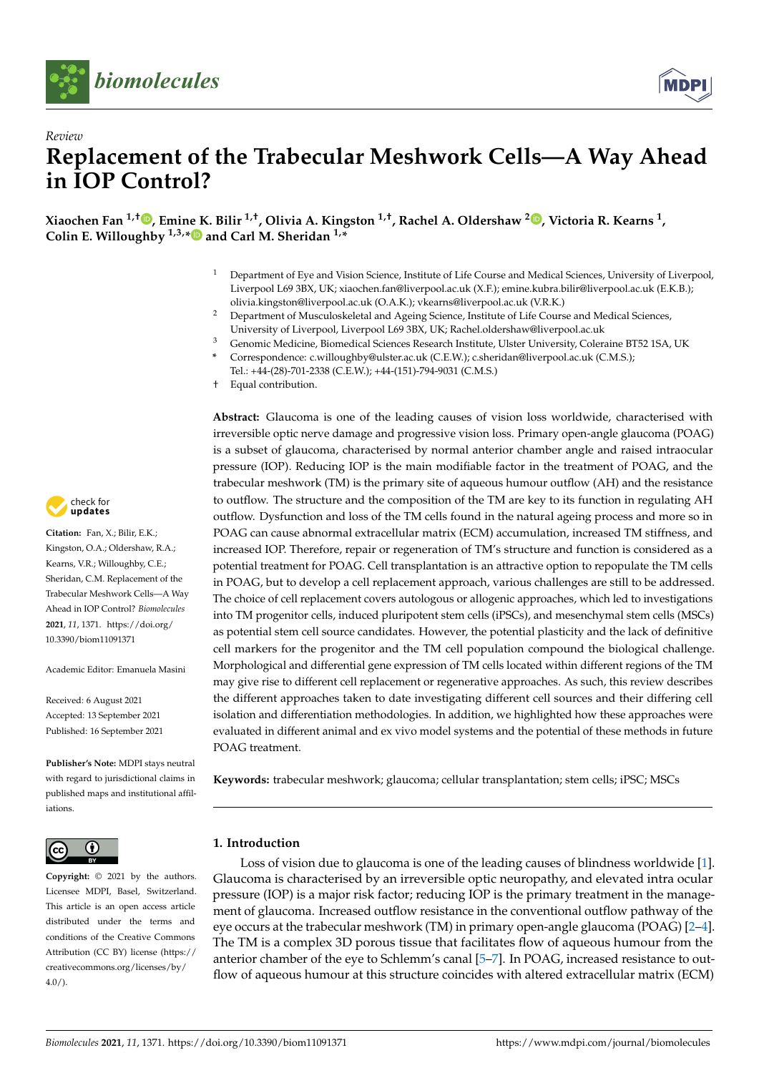



# *Review* **Replacement of the Trabecular Meshwork Cells—A Way Ahead in IOP Control?**

**Xiaochen Fan 1,† [,](https://orcid.org/0000-0002-7116-2846) Emine K. Bilir 1,†, Olivia A. Kingston 1,†, Rachel A. Oldershaw <sup>2</sup> [,](https://orcid.org/0000-0001-8478-599X) Victoria R. Kearns <sup>1</sup> , Colin E. Willoughby 1,3,[\\*](https://orcid.org/0000-0002-1246-4166) and Carl M. Sheridan 1,\***

- <sup>1</sup> Department of Eye and Vision Science, Institute of Life Course and Medical Sciences, University of Liverpool, Liverpool L69 3BX, UK; xiaochen.fan@liverpool.ac.uk (X.F.); emine.kubra.bilir@liverpool.ac.uk (E.K.B.); olivia.kingston@liverpool.ac.uk (O.A.K.); vkearns@liverpool.ac.uk (V.R.K.)
- <sup>2</sup> Department of Musculoskeletal and Ageing Science, Institute of Life Course and Medical Sciences, University of Liverpool, Liverpool L69 3BX, UK; Rachel.oldershaw@liverpool.ac.uk
- <sup>3</sup> Genomic Medicine, Biomedical Sciences Research Institute, Ulster University, Coleraine BT52 1SA, UK **\*** Correspondence: c.willoughby@ulster.ac.uk (C.E.W.); c.sheridan@liverpool.ac.uk (C.M.S.); Tel.: +44-(28)-701-2338 (C.E.W.); +44-(151)-794-9031 (C.M.S.)
- † Equal contribution.

**Abstract:** Glaucoma is one of the leading causes of vision loss worldwide, characterised with irreversible optic nerve damage and progressive vision loss. Primary open-angle glaucoma (POAG) is a subset of glaucoma, characterised by normal anterior chamber angle and raised intraocular pressure (IOP). Reducing IOP is the main modifiable factor in the treatment of POAG, and the trabecular meshwork (TM) is the primary site of aqueous humour outflow (AH) and the resistance to outflow. The structure and the composition of the TM are key to its function in regulating AH outflow. Dysfunction and loss of the TM cells found in the natural ageing process and more so in POAG can cause abnormal extracellular matrix (ECM) accumulation, increased TM stiffness, and increased IOP. Therefore, repair or regeneration of TM's structure and function is considered as a potential treatment for POAG. Cell transplantation is an attractive option to repopulate the TM cells in POAG, but to develop a cell replacement approach, various challenges are still to be addressed. The choice of cell replacement covers autologous or allogenic approaches, which led to investigations into TM progenitor cells, induced pluripotent stem cells (iPSCs), and mesenchymal stem cells (MSCs) as potential stem cell source candidates. However, the potential plasticity and the lack of definitive cell markers for the progenitor and the TM cell population compound the biological challenge. Morphological and differential gene expression of TM cells located within different regions of the TM may give rise to different cell replacement or regenerative approaches. As such, this review describes the different approaches taken to date investigating different cell sources and their differing cell isolation and differentiation methodologies. In addition, we highlighted how these approaches were evaluated in different animal and ex vivo model systems and the potential of these methods in future POAG treatment.

**Keywords:** trabecular meshwork; glaucoma; cellular transplantation; stem cells; iPSC; MSCs

# **1. Introduction**

Loss of vision due to glaucoma is one of the leading causes of blindness worldwide [\[1\]](#page-13-0). Glaucoma is characterised by an irreversible optic neuropathy, and elevated intra ocular pressure (IOP) is a major risk factor; reducing IOP is the primary treatment in the management of glaucoma. Increased outflow resistance in the conventional outflow pathway of the eye occurs at the trabecular meshwork (TM) in primary open-angle glaucoma (POAG) [\[2](#page-13-1)[–4\]](#page-13-2). The TM is a complex 3D porous tissue that facilitates flow of aqueous humour from the anterior chamber of the eye to Schlemm's canal [\[5](#page-13-3)[–7\]](#page-13-4). In POAG, increased resistance to outflow of aqueous humour at this structure coincides with altered extracellular matrix (ECM)



**Citation:** Fan, X.; Bilir, E.K.; Kingston, O.A.; Oldershaw, R.A.; Kearns, V.R.; Willoughby, C.E.; Sheridan, C.M. Replacement of the Trabecular Meshwork Cells—A Way Ahead in IOP Control? *Biomolecules* **2021**, *11*, 1371. [https://doi.org/](https://doi.org/10.3390/biom11091371) [10.3390/biom11091371](https://doi.org/10.3390/biom11091371)

Academic Editor: Emanuela Masini

Received: 6 August 2021 Accepted: 13 September 2021 Published: 16 September 2021

**Publisher's Note:** MDPI stays neutral with regard to jurisdictional claims in published maps and institutional affiliations.



**Copyright:** © 2021 by the authors. Licensee MDPI, Basel, Switzerland. This article is an open access article distributed under the terms and conditions of the Creative Commons Attribution (CC BY) license (https:/[/](https://creativecommons.org/licenses/by/4.0/) [creativecommons.org/licenses/by/](https://creativecommons.org/licenses/by/4.0/) 4.0/).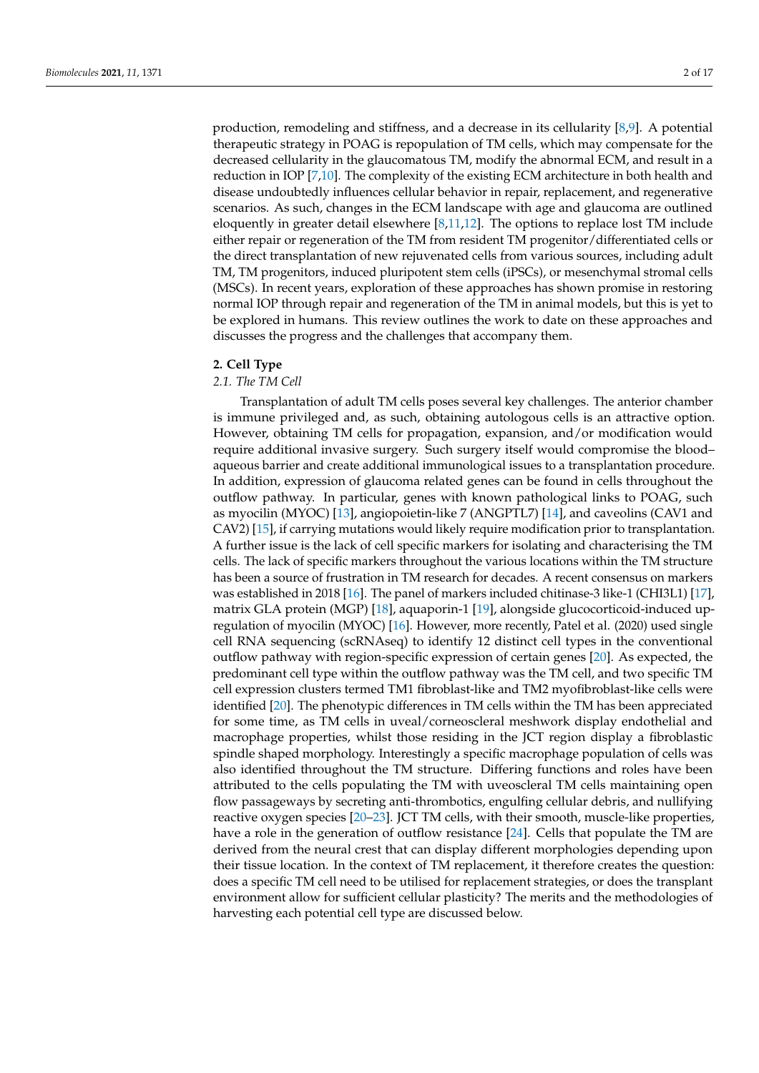production, remodeling and stiffness, and a decrease in its cellularity [\[8,](#page-13-5)[9\]](#page-13-6). A potential therapeutic strategy in POAG is repopulation of TM cells, which may compensate for the decreased cellularity in the glaucomatous TM, modify the abnormal ECM, and result in a reduction in IOP [\[7](#page-13-4)[,10\]](#page-13-7). The complexity of the existing ECM architecture in both health and disease undoubtedly influences cellular behavior in repair, replacement, and regenerative scenarios. As such, changes in the ECM landscape with age and glaucoma are outlined eloquently in greater detail elsewhere [\[8,](#page-13-5)[11,](#page-13-8)[12\]](#page-14-0). The options to replace lost TM include either repair or regeneration of the TM from resident TM progenitor/differentiated cells or the direct transplantation of new rejuvenated cells from various sources, including adult TM, TM progenitors, induced pluripotent stem cells (iPSCs), or mesenchymal stromal cells (MSCs). In recent years, exploration of these approaches has shown promise in restoring normal IOP through repair and regeneration of the TM in animal models, but this is yet to be explored in humans. This review outlines the work to date on these approaches and discusses the progress and the challenges that accompany them.

#### **2. Cell Type**

## *2.1. The TM Cell*

Transplantation of adult TM cells poses several key challenges. The anterior chamber is immune privileged and, as such, obtaining autologous cells is an attractive option. However, obtaining TM cells for propagation, expansion, and/or modification would require additional invasive surgery. Such surgery itself would compromise the blood– aqueous barrier and create additional immunological issues to a transplantation procedure. In addition, expression of glaucoma related genes can be found in cells throughout the outflow pathway. In particular, genes with known pathological links to POAG, such as myocilin (MYOC) [\[13\]](#page-14-1), angiopoietin-like 7 (ANGPTL7) [\[14\]](#page-14-2), and caveolins (CAV1 and CAV2) [\[15\]](#page-14-3), if carrying mutations would likely require modification prior to transplantation. A further issue is the lack of cell specific markers for isolating and characterising the TM cells. The lack of specific markers throughout the various locations within the TM structure has been a source of frustration in TM research for decades. A recent consensus on markers was established in 2018 [\[16\]](#page-14-4). The panel of markers included chitinase-3 like-1 (CHI3L1) [\[17\]](#page-14-5), matrix GLA protein (MGP) [\[18\]](#page-14-6), aquaporin-1 [\[19\]](#page-14-7), alongside glucocorticoid-induced upregulation of myocilin (MYOC) [\[16\]](#page-14-4). However, more recently, Patel et al. (2020) used single cell RNA sequencing (scRNAseq) to identify 12 distinct cell types in the conventional outflow pathway with region-specific expression of certain genes [\[20\]](#page-14-8). As expected, the predominant cell type within the outflow pathway was the TM cell, and two specific TM cell expression clusters termed TM1 fibroblast-like and TM2 myofibroblast-like cells were identified [\[20\]](#page-14-8). The phenotypic differences in TM cells within the TM has been appreciated for some time, as TM cells in uveal/corneoscleral meshwork display endothelial and macrophage properties, whilst those residing in the JCT region display a fibroblastic spindle shaped morphology. Interestingly a specific macrophage population of cells was also identified throughout the TM structure. Differing functions and roles have been attributed to the cells populating the TM with uveoscleral TM cells maintaining open flow passageways by secreting anti-thrombotics, engulfing cellular debris, and nullifying reactive oxygen species [\[20–](#page-14-8)[23\]](#page-14-9). JCT TM cells, with their smooth, muscle-like properties, have a role in the generation of outflow resistance [\[24\]](#page-14-10). Cells that populate the TM are derived from the neural crest that can display different morphologies depending upon their tissue location. In the context of TM replacement, it therefore creates the question: does a specific TM cell need to be utilised for replacement strategies, or does the transplant environment allow for sufficient cellular plasticity? The merits and the methodologies of harvesting each potential cell type are discussed below.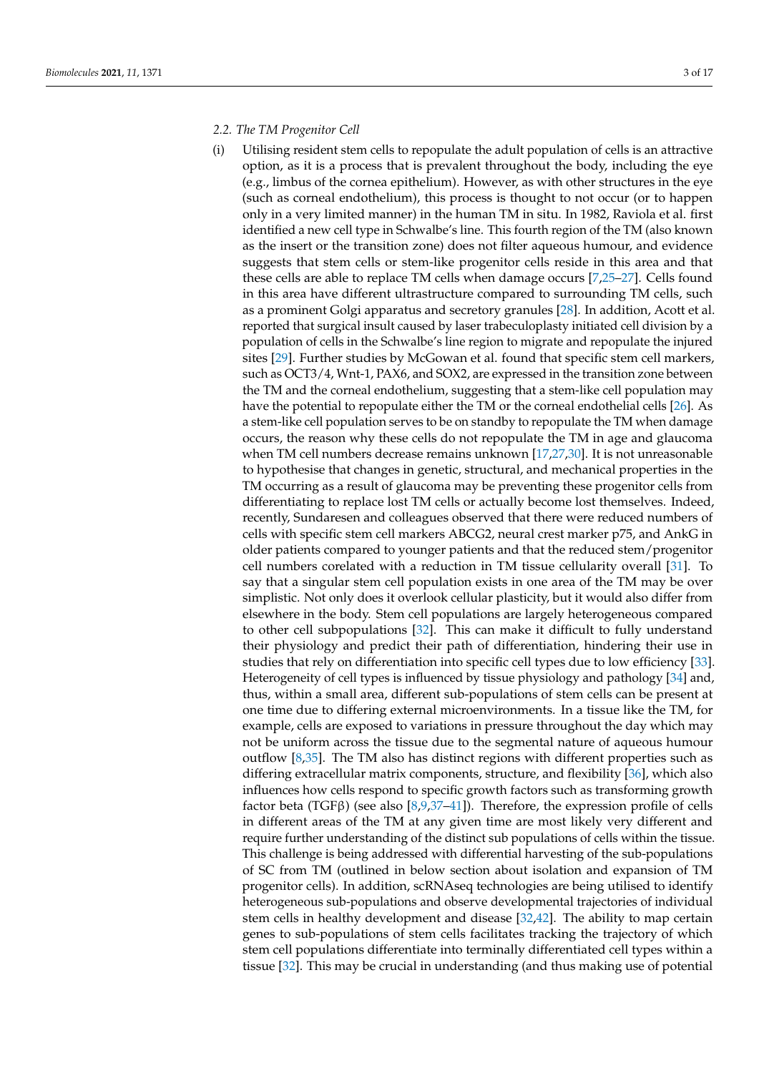## *2.2. The TM Progenitor Cell*

(i) Utilising resident stem cells to repopulate the adult population of cells is an attractive option, as it is a process that is prevalent throughout the body, including the eye (e.g., limbus of the cornea epithelium). However, as with other structures in the eye (such as corneal endothelium), this process is thought to not occur (or to happen only in a very limited manner) in the human TM in situ. In 1982, Raviola et al. first identified a new cell type in Schwalbe's line. This fourth region of the TM (also known as the insert or the transition zone) does not filter aqueous humour, and evidence suggests that stem cells or stem-like progenitor cells reside in this area and that these cells are able to replace TM cells when damage occurs [\[7,](#page-13-4)[25](#page-14-11)[–27\]](#page-14-12). Cells found in this area have different ultrastructure compared to surrounding TM cells, such as a prominent Golgi apparatus and secretory granules [\[28\]](#page-14-13). In addition, Acott et al. reported that surgical insult caused by laser trabeculoplasty initiated cell division by a population of cells in the Schwalbe's line region to migrate and repopulate the injured sites [\[29\]](#page-14-14). Further studies by McGowan et al. found that specific stem cell markers, such as OCT3/4, Wnt-1, PAX6, and SOX2, are expressed in the transition zone between the TM and the corneal endothelium, suggesting that a stem-like cell population may have the potential to repopulate either the TM or the corneal endothelial cells [\[26\]](#page-14-15). As a stem-like cell population serves to be on standby to repopulate the TM when damage occurs, the reason why these cells do not repopulate the TM in age and glaucoma when TM cell numbers decrease remains unknown [\[17](#page-14-5)[,27,](#page-14-12)[30\]](#page-14-16). It is not unreasonable to hypothesise that changes in genetic, structural, and mechanical properties in the TM occurring as a result of glaucoma may be preventing these progenitor cells from differentiating to replace lost TM cells or actually become lost themselves. Indeed, recently, Sundaresen and colleagues observed that there were reduced numbers of cells with specific stem cell markers ABCG2, neural crest marker p75, and AnkG in older patients compared to younger patients and that the reduced stem/progenitor cell numbers corelated with a reduction in TM tissue cellularity overall [\[31\]](#page-14-17). To say that a singular stem cell population exists in one area of the TM may be over simplistic. Not only does it overlook cellular plasticity, but it would also differ from elsewhere in the body. Stem cell populations are largely heterogeneous compared to other cell subpopulations [\[32\]](#page-14-18). This can make it difficult to fully understand their physiology and predict their path of differentiation, hindering their use in studies that rely on differentiation into specific cell types due to low efficiency [\[33\]](#page-14-19). Heterogeneity of cell types is influenced by tissue physiology and pathology [\[34\]](#page-14-20) and, thus, within a small area, different sub-populations of stem cells can be present at one time due to differing external microenvironments. In a tissue like the TM, for example, cells are exposed to variations in pressure throughout the day which may not be uniform across the tissue due to the segmental nature of aqueous humour outflow [\[8,](#page-13-5)[35\]](#page-14-21). The TM also has distinct regions with different properties such as differing extracellular matrix components, structure, and flexibility [\[36\]](#page-14-22), which also influences how cells respond to specific growth factors such as transforming growth factor beta (TGFβ) (see also [\[8,](#page-13-5)[9,](#page-13-6)[37–](#page-14-23)[41\]](#page-15-0)). Therefore, the expression profile of cells in different areas of the TM at any given time are most likely very different and require further understanding of the distinct sub populations of cells within the tissue. This challenge is being addressed with differential harvesting of the sub-populations of SC from TM (outlined in below section about isolation and expansion of TM progenitor cells). In addition, scRNAseq technologies are being utilised to identify heterogeneous sub-populations and observe developmental trajectories of individual stem cells in healthy development and disease [\[32](#page-14-18)[,42\]](#page-15-1). The ability to map certain genes to sub-populations of stem cells facilitates tracking the trajectory of which stem cell populations differentiate into terminally differentiated cell types within a tissue [\[32\]](#page-14-18). This may be crucial in understanding (and thus making use of potential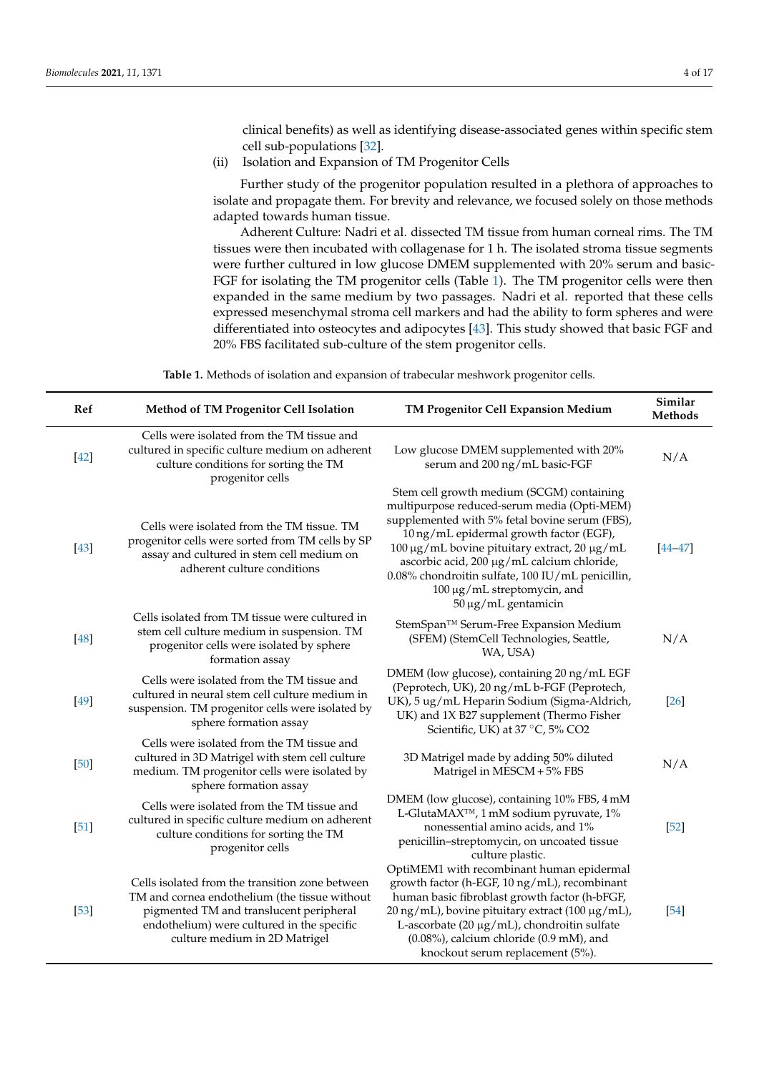clinical benefits) as well as identifying disease-associated genes within specific stem cell sub-populations [\[32\]](#page-14-18).

(ii) Isolation and Expansion of TM Progenitor Cells

Further study of the progenitor population resulted in a plethora of approaches to isolate and propagate them. For brevity and relevance, we focused solely on those methods adapted towards human tissue.

Adherent Culture: Nadri et al. dissected TM tissue from human corneal rims. The TM tissues were then incubated with collagenase for 1 h. The isolated stroma tissue segments were further cultured in low glucose DMEM supplemented with 20% serum and basic-FGF for isolating the TM progenitor cells (Table [1\)](#page-3-0). The TM progenitor cells were then expanded in the same medium by two passages. Nadri et al. reported that these cells expressed mesenchymal stroma cell markers and had the ability to form spheres and were differentiated into osteocytes and adipocytes [\[43\]](#page-15-2). This study showed that basic FGF and 20% FBS facilitated sub-culture of the stem progenitor cells.

**Table 1.** Methods of isolation and expansion of trabecular meshwork progenitor cells.

<span id="page-3-0"></span>

| Ref    | Method of TM Progenitor Cell Isolation                                                                                                                                                                                     | TM Progenitor Cell Expansion Medium                                                                                                                                                                                                                                                                                                                                                                           | Similar<br>Methods |
|--------|----------------------------------------------------------------------------------------------------------------------------------------------------------------------------------------------------------------------------|---------------------------------------------------------------------------------------------------------------------------------------------------------------------------------------------------------------------------------------------------------------------------------------------------------------------------------------------------------------------------------------------------------------|--------------------|
| $[42]$ | Cells were isolated from the TM tissue and<br>cultured in specific culture medium on adherent<br>culture conditions for sorting the TM<br>progenitor cells                                                                 | Low glucose DMEM supplemented with 20%<br>serum and 200 ng/mL basic-FGF                                                                                                                                                                                                                                                                                                                                       | N/A                |
| $[43]$ | Cells were isolated from the TM tissue. TM<br>progenitor cells were sorted from TM cells by SP<br>assay and cultured in stem cell medium on<br>adherent culture conditions                                                 | Stem cell growth medium (SCGM) containing<br>multipurpose reduced-serum media (Opti-MEM)<br>supplemented with 5% fetal bovine serum (FBS),<br>10 ng/mL epidermal growth factor (EGF),<br>100 μg/mL bovine pituitary extract, 20 μg/mL<br>ascorbic acid, 200 µg/mL calcium chloride,<br>0.08% chondroitin sulfate, 100 IU/mL penicillin,<br>100 μg/mL streptomycin, and<br>$50 \,\mathrm{\mu g/mL}$ gentamicin | $[44 - 47]$        |
| $[48]$ | Cells isolated from TM tissue were cultured in<br>stem cell culture medium in suspension. TM<br>progenitor cells were isolated by sphere<br>formation assay                                                                | StemSpan™ Serum-Free Expansion Medium<br>(SFEM) (StemCell Technologies, Seattle,<br>WA, USA)                                                                                                                                                                                                                                                                                                                  | N/A                |
| $[49]$ | Cells were isolated from the TM tissue and<br>cultured in neural stem cell culture medium in<br>suspension. TM progenitor cells were isolated by<br>sphere formation assay                                                 | DMEM (low glucose), containing 20 ng/mL EGF<br>(Peprotech, UK), 20 ng/mL b-FGF (Peprotech,<br>UK), 5 ug/mL Heparin Sodium (Sigma-Aldrich,<br>UK) and 1X B27 supplement (Thermo Fisher<br>Scientific, UK) at 37 °C, 5% CO2                                                                                                                                                                                     | $[26]$             |
| [50]   | Cells were isolated from the TM tissue and<br>cultured in 3D Matrigel with stem cell culture<br>medium. TM progenitor cells were isolated by<br>sphere formation assay                                                     | 3D Matrigel made by adding 50% diluted<br>Matrigel in MESCM + 5% FBS                                                                                                                                                                                                                                                                                                                                          | N/A                |
| $[51]$ | Cells were isolated from the TM tissue and<br>cultured in specific culture medium on adherent<br>culture conditions for sorting the TM<br>progenitor cells                                                                 | DMEM (low glucose), containing 10% FBS, 4 mM<br>L-GlutaMAX <sup>™</sup> , 1 mM sodium pyruvate, 1%<br>nonessential amino acids, and 1%<br>penicillin-streptomycin, on uncoated tissue<br>culture plastic.                                                                                                                                                                                                     | $[52]$             |
| $[53]$ | Cells isolated from the transition zone between<br>TM and cornea endothelium (the tissue without<br>pigmented TM and translucent peripheral<br>endothelium) were cultured in the specific<br>culture medium in 2D Matrigel | OptiMEM1 with recombinant human epidermal<br>growth factor (h-EGF, 10 ng/mL), recombinant<br>human basic fibroblast growth factor (h-bFGF,<br>20 ng/mL), bovine pituitary extract (100 μg/mL),<br>L-ascorbate (20 µg/mL), chondroitin sulfate<br>$(0.08\%)$ , calcium chloride $(0.9 \text{ mM})$ , and<br>knockout serum replacement (5%).                                                                   | $[54]$             |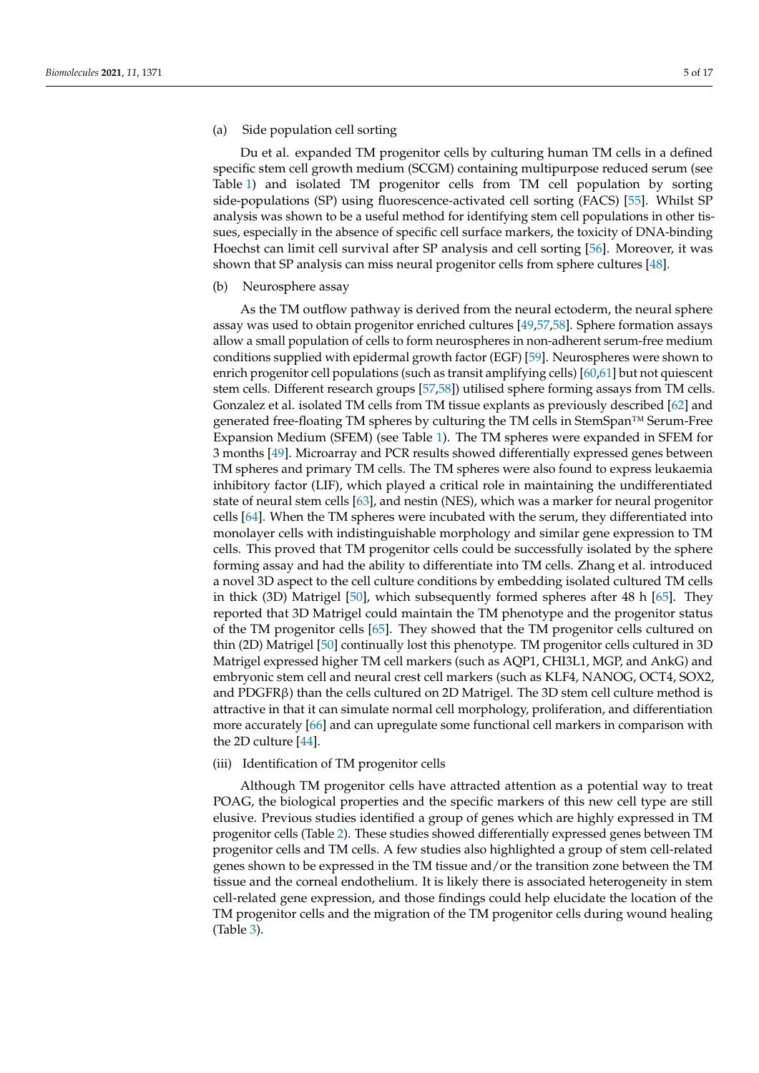## (a) Side population cell sorting

Du et al. expanded TM progenitor cells by culturing human TM cells in a defined specific stem cell growth medium (SCGM) containing multipurpose reduced serum (see Table [1\)](#page-3-0) and isolated TM progenitor cells from TM cell population by sorting side-populations (SP) using fluorescence-activated cell sorting (FACS) [\[55\]](#page-15-12). Whilst SP analysis was shown to be a useful method for identifying stem cell populations in other tissues, especially in the absence of specific cell surface markers, the toxicity of DNA-binding Hoechst can limit cell survival after SP analysis and cell sorting [\[56\]](#page-15-13). Moreover, it was shown that SP analysis can miss neural progenitor cells from sphere cultures [\[48\]](#page-15-5).

#### (b) Neurosphere assay

As the TM outflow pathway is derived from the neural ectoderm, the neural sphere assay was used to obtain progenitor enriched cultures [\[49](#page-15-6)[,57](#page-15-14)[,58\]](#page-15-15). Sphere formation assays allow a small population of cells to form neurospheres in non-adherent serum-free medium conditions supplied with epidermal growth factor (EGF) [\[59\]](#page-15-16). Neurospheres were shown to enrich progenitor cell populations (such as transit amplifying cells) [\[60](#page-15-17)[,61\]](#page-15-18) but not quiescent stem cells. Different research groups [\[57,](#page-15-14)[58\]](#page-15-15)) utilised sphere forming assays from TM cells. Gonzalez et al. isolated TM cells from TM tissue explants as previously described [\[62\]](#page-15-19) and generated free-floating TM spheres by culturing the TM cells in StemSpan™ Serum-Free Expansion Medium (SFEM) (see Table [1\)](#page-3-0). The TM spheres were expanded in SFEM for 3 months [\[49\]](#page-15-6). Microarray and PCR results showed differentially expressed genes between TM spheres and primary TM cells. The TM spheres were also found to express leukaemia inhibitory factor (LIF), which played a critical role in maintaining the undifferentiated state of neural stem cells [\[63\]](#page-15-20), and nestin (NES), which was a marker for neural progenitor cells [\[64\]](#page-15-21). When the TM spheres were incubated with the serum, they differentiated into monolayer cells with indistinguishable morphology and similar gene expression to TM cells. This proved that TM progenitor cells could be successfully isolated by the sphere forming assay and had the ability to differentiate into TM cells. Zhang et al. introduced a novel 3D aspect to the cell culture conditions by embedding isolated cultured TM cells in thick (3D) Matrigel [\[50\]](#page-15-7), which subsequently formed spheres after 48 h [\[65\]](#page-15-22). They reported that 3D Matrigel could maintain the TM phenotype and the progenitor status of the TM progenitor cells [\[65\]](#page-15-22). They showed that the TM progenitor cells cultured on thin (2D) Matrigel [\[50\]](#page-15-7) continually lost this phenotype. TM progenitor cells cultured in 3D Matrigel expressed higher TM cell markers (such as AQP1, CHI3L1, MGP, and AnkG) and embryonic stem cell and neural crest cell markers (such as KLF4, NANOG, OCT4, SOX2, and PDGFR $\beta$ ) than the cells cultured on 2D Matrigel. The 3D stem cell culture method is attractive in that it can simulate normal cell morphology, proliferation, and differentiation more accurately [\[66\]](#page-15-23) and can upregulate some functional cell markers in comparison with the 2D culture [\[44\]](#page-15-3).

#### (iii) Identification of TM progenitor cells

Although TM progenitor cells have attracted attention as a potential way to treat POAG, the biological properties and the specific markers of this new cell type are still elusive. Previous studies identified a group of genes which are highly expressed in TM progenitor cells (Table [2\)](#page-5-0). These studies showed differentially expressed genes between TM progenitor cells and TM cells. A few studies also highlighted a group of stem cell-related genes shown to be expressed in the TM tissue and/or the transition zone between the TM tissue and the corneal endothelium. It is likely there is associated heterogeneity in stem cell-related gene expression, and those findings could help elucidate the location of the TM progenitor cells and the migration of the TM progenitor cells during wound healing (Table [3\)](#page-5-1).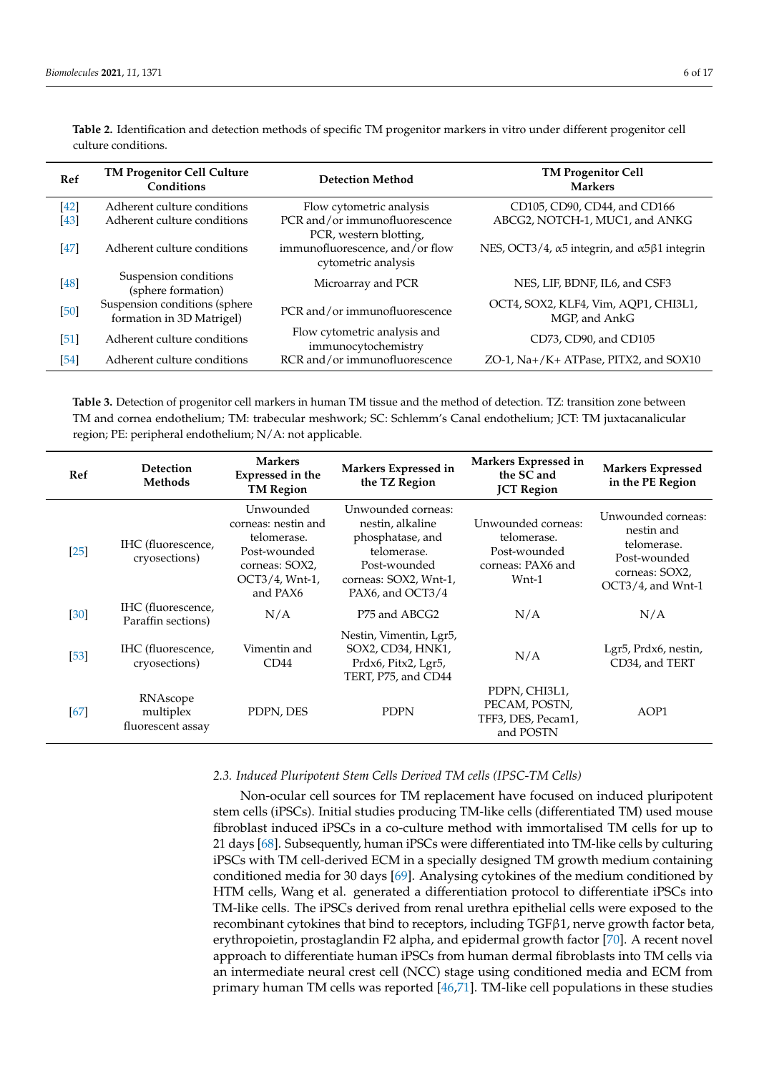| Ref    | <b>TM Progenitor Cell Culture</b><br>Conditions            | <b>Detection Method</b>                                                          | <b>TM Progenitor Cell</b><br><b>Markers</b>                         |
|--------|------------------------------------------------------------|----------------------------------------------------------------------------------|---------------------------------------------------------------------|
| $[42]$ | Adherent culture conditions                                | Flow cytometric analysis                                                         | CD105, CD90, CD44, and CD166                                        |
| $[43]$ | Adherent culture conditions                                | PCR and/or immunofluorescence                                                    | ABCG2, NOTCH-1, MUC1, and ANKG                                      |
| $[47]$ | Adherent culture conditions                                | PCR, western blotting,<br>immunofluorescence, and/or flow<br>cytometric analysis | NES, OCT3/4, $\alpha$ 5 integrin, and $\alpha$ 5 $\beta$ 1 integrin |
| $[48]$ | Suspension conditions<br>(sphere formation)                | Microarray and PCR                                                               | NES, LIF, BDNF, IL6, and CSF3                                       |
| $[50]$ | Suspension conditions (sphere<br>formation in 3D Matrigel) | PCR and/or immunofluorescence                                                    | OCT4, SOX2, KLF4, Vim, AQP1, CHI3L1,<br>MGP, and AnkG               |
| [51]   | Adherent culture conditions                                | Flow cytometric analysis and<br>immunocytochemistry                              | CD73, CD90, and CD105                                               |
| $[54]$ | Adherent culture conditions                                | RCR and/or immunofluorescence                                                    | ZO-1, Na+/K+ ATPase, PITX2, and SOX10                               |

<span id="page-5-0"></span>**Table 2.** Identification and detection methods of specific TM progenitor markers in vitro under different progenitor cell culture conditions.

<span id="page-5-1"></span>**Table 3.** Detection of progenitor cell markers in human TM tissue and the method of detection. TZ: transition zone between TM and cornea endothelium; TM: trabecular meshwork; SC: Schlemm's Canal endothelium; JCT: TM juxtacanalicular region; PE: peripheral endothelium; N/A: not applicable.

| Ref    | <b>Detection</b><br>Methods                | <b>Markers</b><br>Expressed in the<br><b>TM Region</b>                                                          | Markers Expressed in<br>the TZ Region                                                                                                  | Markers Expressed in<br>the SC and<br><b>JCT</b> Region                         | <b>Markers Expressed</b><br>in the PE Region                                                           |
|--------|--------------------------------------------|-----------------------------------------------------------------------------------------------------------------|----------------------------------------------------------------------------------------------------------------------------------------|---------------------------------------------------------------------------------|--------------------------------------------------------------------------------------------------------|
| $[25]$ | IHC (fluorescence,<br>cryosections)        | Unwounded<br>corneas: nestin and<br>telomerase.<br>Post-wounded<br>corneas: SOX2,<br>OCT3/4, Wnt-1,<br>and PAX6 | Unwounded corneas:<br>nestin, alkaline<br>phosphatase, and<br>telomerase.<br>Post-wounded<br>corneas: SOX2, Wnt-1,<br>PAX6, and OCT3/4 | Unwounded corneas:<br>telomerase.<br>Post-wounded<br>corneas: PAX6 and<br>Wnt-1 | Unwounded corneas:<br>nestin and<br>telomerase.<br>Post-wounded<br>corneas: SOX2,<br>OCT3/4, and Wnt-1 |
| $[30]$ | IHC (fluorescence,<br>Paraffin sections)   | N/A                                                                                                             | P <sub>75</sub> and ABCG <sub>2</sub>                                                                                                  | N/A                                                                             | N/A                                                                                                    |
| $[53]$ | IHC (fluorescence,<br>cryosections)        | Vimentin and<br>CD44                                                                                            | Nestin, Vimentin, Lgr5,<br>SOX2, CD34, HNK1,<br>Prdx6, Pitx2, Lgr5,<br>TERT, P75, and CD44                                             | N/A                                                                             | Lgr5, Prdx6, nestin,<br>CD34, and TERT                                                                 |
| [67]   | RNAscope<br>multiplex<br>fluorescent assay | PDPN, DES                                                                                                       | <b>PDPN</b>                                                                                                                            | PDPN, CHI3L1,<br>PECAM, POSTN,<br>TFF3, DES, Pecam1,<br>and POSTN               | AOP1                                                                                                   |

## *2.3. Induced Pluripotent Stem Cells Derived TM cells (IPSC-TM Cells)*

Non-ocular cell sources for TM replacement have focused on induced pluripotent stem cells (iPSCs). Initial studies producing TM-like cells (differentiated TM) used mouse fibroblast induced iPSCs in a co-culture method with immortalised TM cells for up to 21 days [\[68\]](#page-16-1). Subsequently, human iPSCs were differentiated into TM-like cells by culturing iPSCs with TM cell-derived ECM in a specially designed TM growth medium containing conditioned media for 30 days [\[69\]](#page-16-2). Analysing cytokines of the medium conditioned by HTM cells, Wang et al. generated a differentiation protocol to differentiate iPSCs into TM-like cells. The iPSCs derived from renal urethra epithelial cells were exposed to the recombinant cytokines that bind to receptors, including TGFβ1, nerve growth factor beta, erythropoietin, prostaglandin F2 alpha, and epidermal growth factor [\[70\]](#page-16-3). A recent novel approach to differentiate human iPSCs from human dermal fibroblasts into TM cells via an intermediate neural crest cell (NCC) stage using conditioned media and ECM from primary human TM cells was reported [\[46,](#page-15-24)[71\]](#page-16-4). TM-like cell populations in these studies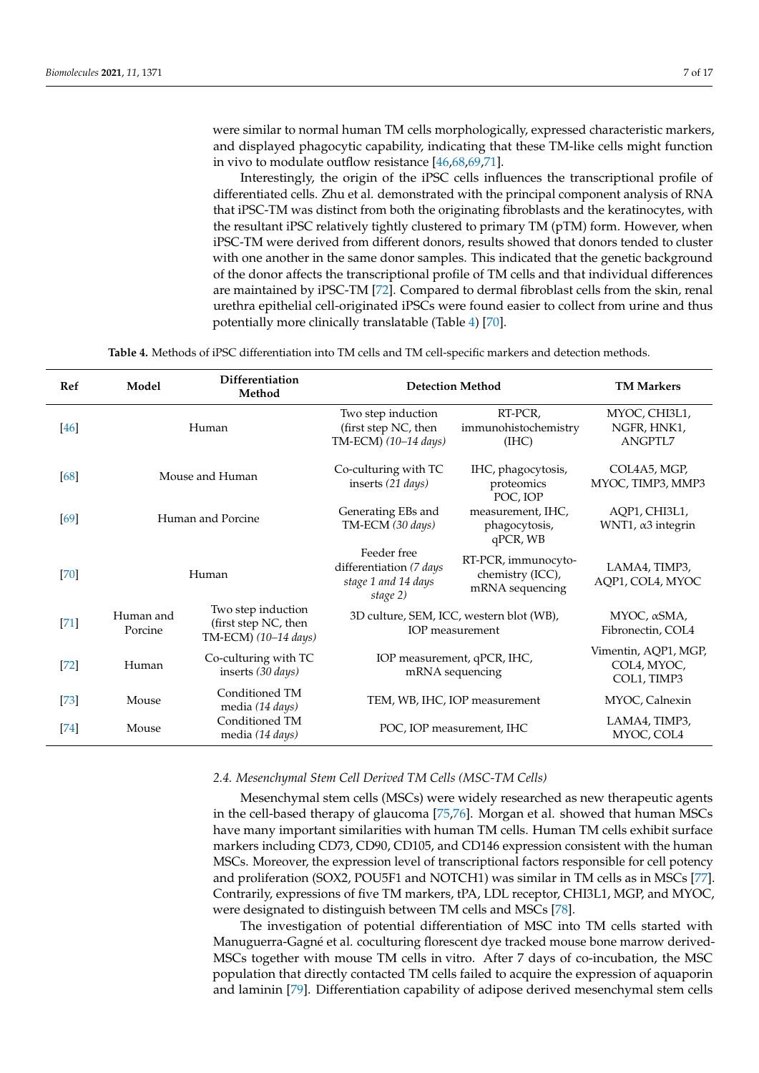were similar to normal human TM cells morphologically, expressed characteristic markers, and displayed phagocytic capability, indicating that these TM-like cells might function in vivo to modulate outflow resistance [\[46](#page-15-24)[,68,](#page-16-1)[69,](#page-16-2)[71\]](#page-16-4).

Interestingly, the origin of the iPSC cells influences the transcriptional profile of differentiated cells. Zhu et al. demonstrated with the principal component analysis of RNA that iPSC-TM was distinct from both the originating fibroblasts and the keratinocytes, with the resultant iPSC relatively tightly clustered to primary TM (pTM) form. However, when iPSC-TM were derived from different donors, results showed that donors tended to cluster with one another in the same donor samples. This indicated that the genetic background of the donor affects the transcriptional profile of TM cells and that individual differences are maintained by iPSC-TM [\[72\]](#page-16-5). Compared to dermal fibroblast cells from the skin, renal urethra epithelial cell-originated iPSCs were found easier to collect from urine and thus potentially more clinically translatable (Table [4\)](#page-6-0) [\[70\]](#page-16-3).

**Table 4.** Methods of iPSC differentiation into TM cells and TM cell-specific markers and detection methods.

<span id="page-6-0"></span>

| Ref    | Model                                                                                      | Differentiation<br>Method |                                                                           | <b>Detection Method</b>                                     | <b>TM Markers</b>                                  |
|--------|--------------------------------------------------------------------------------------------|---------------------------|---------------------------------------------------------------------------|-------------------------------------------------------------|----------------------------------------------------|
| $[46]$ | Human                                                                                      |                           | Two step induction<br>(first step NC, then<br>TM-ECM) (10-14 days)        | RT-PCR,<br>immunohistochemistry<br>(IIIC)                   | MYOC, CHI3L1,<br>NGFR, HNK1,<br><b>ANGPTL7</b>     |
| [68]   | Mouse and Human                                                                            |                           | Co-culturing with TC<br>inserts (21 days)                                 | IHC, phagocytosis,<br>proteomics<br>POC, IOP                | COL4A5, MGP,<br>MYOC, TIMP3, MMP3                  |
| [69]   | Human and Porcine                                                                          |                           | Generating EBs and<br>TM-ECM (30 days)                                    | measurement, IHC,<br>phagocytosis,<br>qPCR, WB              | AQP1, CHI3L1,<br>WNT1, α3 integrin                 |
| [70]   | Human                                                                                      |                           | Feeder free<br>differentiation (7 days<br>stage 1 and 14 days<br>stage 2) | RT-PCR, immunocyto-<br>chemistry (ICC),<br>mRNA sequencing  | LAMA4, TIMP3,<br>AQP1, COL4, MYOC                  |
| $[71]$ | Two step induction<br>Human and<br>(first step NC, then<br>Porcine<br>TM-ECM) (10-14 days) |                           |                                                                           | 3D culture, SEM, ICC, western blot (WB),<br>IOP measurement | MYOC, $\alpha$ SMA,<br>Fibronectin, COL4           |
| $[72]$ | Co-culturing with TC<br>Human<br>inserts (30 days)                                         |                           |                                                                           | IOP measurement, qPCR, IHC,<br>mRNA sequencing              | Vimentin, AQP1, MGP,<br>COL4, MYOC,<br>COL1, TIMP3 |
| $[73]$ | Conditioned TM<br>Mouse<br>media (14 days)                                                 |                           |                                                                           | TEM, WB, IHC, IOP measurement                               | MYOC, Calnexin                                     |
| $[74]$ | Conditioned TM<br>Mouse<br>media (14 days)                                                 |                           |                                                                           | POC, IOP measurement, IHC                                   | LAMA4, TIMP3,<br>MYOC, COL4                        |

## *2.4. Mesenchymal Stem Cell Derived TM Cells (MSC-TM Cells)*

Mesenchymal stem cells (MSCs) were widely researched as new therapeutic agents in the cell-based therapy of glaucoma [\[75,](#page-16-8)[76\]](#page-16-9). Morgan et al. showed that human MSCs have many important similarities with human TM cells. Human TM cells exhibit surface markers including CD73, CD90, CD105, and CD146 expression consistent with the human MSCs. Moreover, the expression level of transcriptional factors responsible for cell potency and proliferation (SOX2, POU5F1 and NOTCH1) was similar in TM cells as in MSCs [\[77\]](#page-16-10). Contrarily, expressions of five TM markers, tPA, LDL receptor, CHI3L1, MGP, and MYOC, were designated to distinguish between TM cells and MSCs [\[78\]](#page-16-11).

The investigation of potential differentiation of MSC into TM cells started with Manuguerra-Gagné et al. coculturing florescent dye tracked mouse bone marrow derived-MSCs together with mouse TM cells in vitro. After 7 days of co-incubation, the MSC population that directly contacted TM cells failed to acquire the expression of aquaporin and laminin [\[79\]](#page-16-12). Differentiation capability of adipose derived mesenchymal stem cells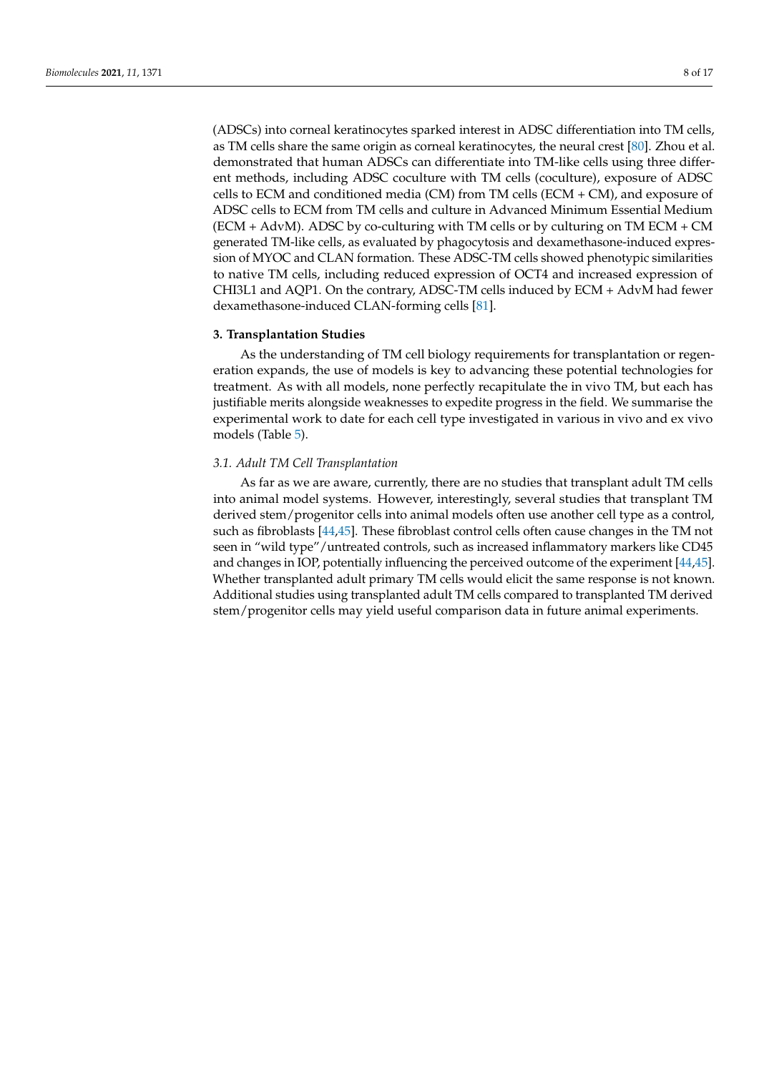(ADSCs) into corneal keratinocytes sparked interest in ADSC differentiation into TM cells, as TM cells share the same origin as corneal keratinocytes, the neural crest [\[80\]](#page-16-13). Zhou et al. demonstrated that human ADSCs can differentiate into TM-like cells using three different methods, including ADSC coculture with TM cells (coculture), exposure of ADSC cells to ECM and conditioned media (CM) from TM cells (ECM + CM), and exposure of ADSC cells to ECM from TM cells and culture in Advanced Minimum Essential Medium (ECM + AdvM). ADSC by co-culturing with TM cells or by culturing on TM ECM + CM generated TM-like cells, as evaluated by phagocytosis and dexamethasone-induced expression of MYOC and CLAN formation. These ADSC-TM cells showed phenotypic similarities to native TM cells, including reduced expression of OCT4 and increased expression of CHI3L1 and AQP1. On the contrary, ADSC-TM cells induced by ECM + AdvM had fewer dexamethasone-induced CLAN-forming cells [\[81\]](#page-16-14).

## **3. Transplantation Studies**

As the understanding of TM cell biology requirements for transplantation or regeneration expands, the use of models is key to advancing these potential technologies for treatment. As with all models, none perfectly recapitulate the in vivo TM, but each has justifiable merits alongside weaknesses to expedite progress in the field. We summarise the experimental work to date for each cell type investigated in various in vivo and ex vivo models (Table [5\)](#page-10-0).

#### *3.1. Adult TM Cell Transplantation*

As far as we are aware, currently, there are no studies that transplant adult TM cells into animal model systems. However, interestingly, several studies that transplant TM derived stem/progenitor cells into animal models often use another cell type as a control, such as fibroblasts [\[44](#page-15-3)[,45\]](#page-15-25). These fibroblast control cells often cause changes in the TM not seen in "wild type"/untreated controls, such as increased inflammatory markers like CD45 and changes in IOP, potentially influencing the perceived outcome of the experiment [\[44](#page-15-3)[,45\]](#page-15-25). Whether transplanted adult primary TM cells would elicit the same response is not known. Additional studies using transplanted adult TM cells compared to transplanted TM derived stem/progenitor cells may yield useful comparison data in future animal experiments.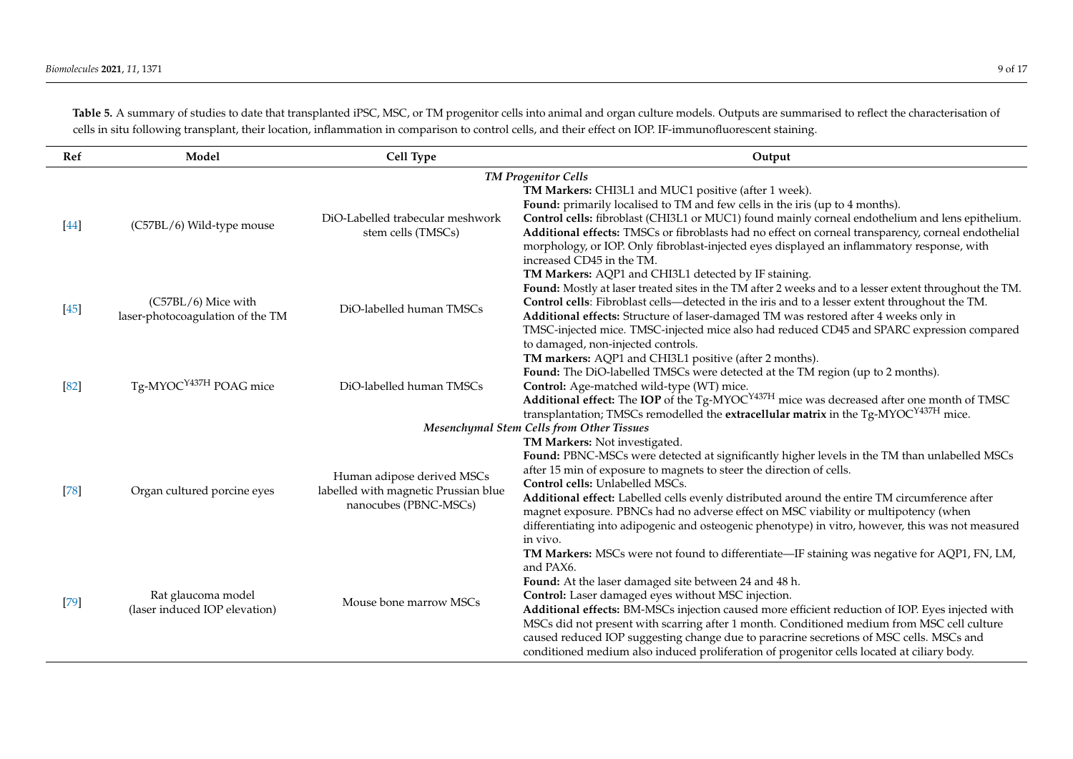Table 5. A summary of studies to date that transplanted iPSC, MSC, or TM progenitor cells into animal and organ culture models. Outputs are summarised to reflect the characterisation of cells in situ following transplant, their location, inflammation in comparison to control cells, and their effect on IOP. IF-immunofluorescent staining.

| Ref    | Model                                                   | Cell Type                                                                                   | Output                                                                                                                                                                                                                                                                                                                                                                                                                                                                                                                                                                                                             |  |  |
|--------|---------------------------------------------------------|---------------------------------------------------------------------------------------------|--------------------------------------------------------------------------------------------------------------------------------------------------------------------------------------------------------------------------------------------------------------------------------------------------------------------------------------------------------------------------------------------------------------------------------------------------------------------------------------------------------------------------------------------------------------------------------------------------------------------|--|--|
|        | <b>TM Progenitor Cells</b>                              |                                                                                             |                                                                                                                                                                                                                                                                                                                                                                                                                                                                                                                                                                                                                    |  |  |
| $[44]$ | (C57BL/6) Wild-type mouse                               | DiO-Labelled trabecular meshwork<br>stem cells (TMSCs)                                      | TM Markers: CHI3L1 and MUC1 positive (after 1 week).<br>Found: primarily localised to TM and few cells in the iris (up to 4 months).<br>Control cells: fibroblast (CHI3L1 or MUC1) found mainly corneal endothelium and lens epithelium.<br>Additional effects: TMSCs or fibroblasts had no effect on corneal transparency, corneal endothelial<br>morphology, or IOP. Only fibroblast-injected eyes displayed an inflammatory response, with<br>increased CD45 in the TM.                                                                                                                                         |  |  |
| $[45]$ | (C57BL/6) Mice with<br>laser-photocoagulation of the TM | DiO-labelled human TMSCs                                                                    | TM Markers: AQP1 and CHI3L1 detected by IF staining.<br>Found: Mostly at laser treated sites in the TM after 2 weeks and to a lesser extent throughout the TM.<br>Control cells: Fibroblast cells—detected in the iris and to a lesser extent throughout the TM.<br>Additional effects: Structure of laser-damaged TM was restored after 4 weeks only in<br>TMSC-injected mice. TMSC-injected mice also had reduced CD45 and SPARC expression compared<br>to damaged, non-injected controls.                                                                                                                       |  |  |
| [82]   | Tg-MYOC <sup>Y437H</sup> POAG mice                      | DiO-labelled human TMSCs                                                                    | TM markers: AQP1 and CHI3L1 positive (after 2 months).<br>Found: The DiO-labelled TMSCs were detected at the TM region (up to 2 months).<br>Control: Age-matched wild-type (WT) mice.<br>Additional effect: The IOP of the Tg-MYOC <sup>Y437H</sup> mice was decreased after one month of TMSC<br>transplantation; TMSCs remodelled the extracellular matrix in the Tg-MYOC <sup>Y437H</sup> mice.<br>Mesenchymal Stem Cells from Other Tissues                                                                                                                                                                    |  |  |
|        |                                                         |                                                                                             | TM Markers: Not investigated.                                                                                                                                                                                                                                                                                                                                                                                                                                                                                                                                                                                      |  |  |
| [78]   | Organ cultured porcine eyes                             | Human adipose derived MSCs<br>labelled with magnetic Prussian blue<br>nanocubes (PBNC-MSCs) | Found: PBNC-MSCs were detected at significantly higher levels in the TM than unlabelled MSCs<br>after 15 min of exposure to magnets to steer the direction of cells.<br>Control cells: Unlabelled MSCs.<br>Additional effect: Labelled cells evenly distributed around the entire TM circumference after<br>magnet exposure. PBNCs had no adverse effect on MSC viability or multipotency (when<br>differentiating into adipogenic and osteogenic phenotype) in vitro, however, this was not measured<br>in vivo.                                                                                                  |  |  |
| $[79]$ | Rat glaucoma model<br>(laser induced IOP elevation)     | Mouse bone marrow MSCs                                                                      | TM Markers: MSCs were not found to differentiate—IF staining was negative for AQP1, FN, LM,<br>and PAX6.<br>Found: At the laser damaged site between 24 and 48 h.<br>Control: Laser damaged eyes without MSC injection.<br>Additional effects: BM-MSCs injection caused more efficient reduction of IOP. Eyes injected with<br>MSCs did not present with scarring after 1 month. Conditioned medium from MSC cell culture<br>caused reduced IOP suggesting change due to paracrine secretions of MSC cells. MSCs and<br>conditioned medium also induced proliferation of progenitor cells located at ciliary body. |  |  |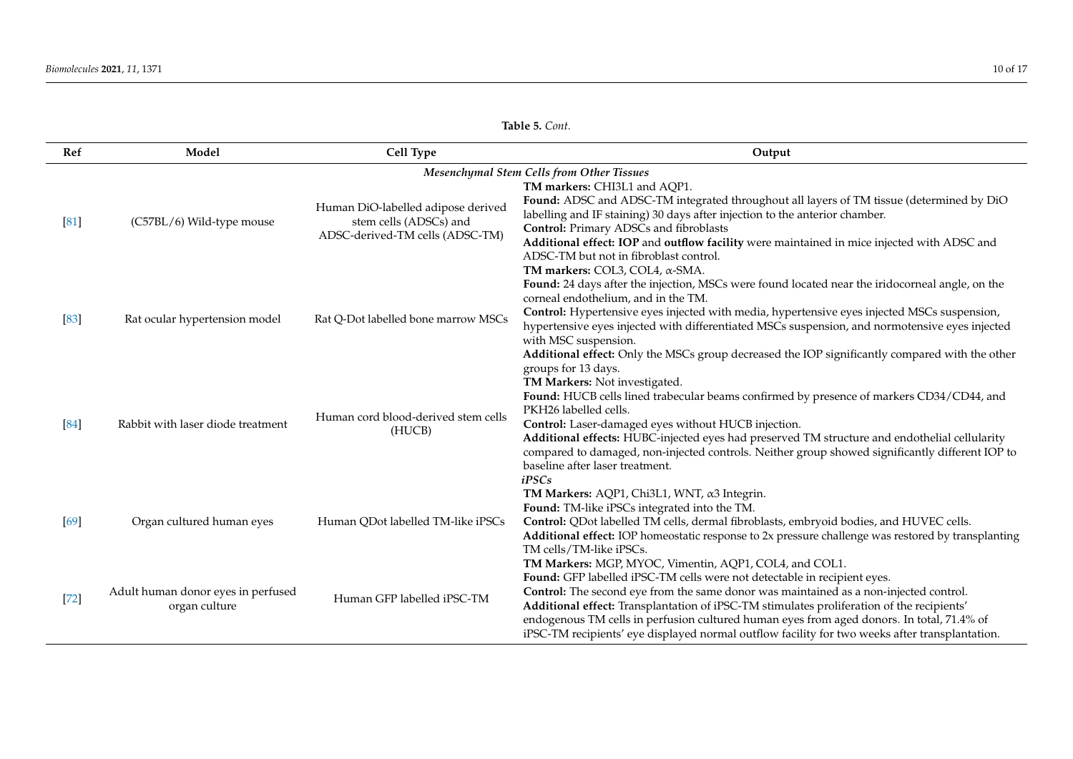| Ref    | Model                                               | Cell Type                                                                                       | Output                                                                                                                                                                                                                                                                                                                                                                                                                                                                                                                     |  |  |
|--------|-----------------------------------------------------|-------------------------------------------------------------------------------------------------|----------------------------------------------------------------------------------------------------------------------------------------------------------------------------------------------------------------------------------------------------------------------------------------------------------------------------------------------------------------------------------------------------------------------------------------------------------------------------------------------------------------------------|--|--|
|        | Mesenchymal Stem Cells from Other Tissues           |                                                                                                 |                                                                                                                                                                                                                                                                                                                                                                                                                                                                                                                            |  |  |
| [81]   | (C57BL/6) Wild-type mouse                           | Human DiO-labelled adipose derived<br>stem cells (ADSCs) and<br>ADSC-derived-TM cells (ADSC-TM) | TM markers: CHI3L1 and AQP1.<br>Found: ADSC and ADSC-TM integrated throughout all layers of TM tissue (determined by DiO<br>labelling and IF staining) 30 days after injection to the anterior chamber.<br><b>Control:</b> Primary ADSCs and fibroblasts<br>Additional effect: IOP and outflow facility were maintained in mice injected with ADSC and<br>ADSC-TM but not in fibroblast control.                                                                                                                           |  |  |
| $[83]$ | Rat ocular hypertension model                       | Rat Q-Dot labelled bone marrow MSCs                                                             | TM markers: COL3, COL4, α-SMA.<br>Found: 24 days after the injection, MSCs were found located near the iridocorneal angle, on the<br>corneal endothelium, and in the TM.<br>Control: Hypertensive eyes injected with media, hypertensive eyes injected MSCs suspension,<br>hypertensive eyes injected with differentiated MSCs suspension, and normotensive eyes injected<br>with MSC suspension.<br>Additional effect: Only the MSCs group decreased the IOP significantly compared with the other<br>groups for 13 days. |  |  |
| [84]   | Rabbit with laser diode treatment                   | Human cord blood-derived stem cells<br>(HUCB)                                                   | TM Markers: Not investigated.<br>Found: HUCB cells lined trabecular beams confirmed by presence of markers CD34/CD44, and<br>PKH26 labelled cells.<br>Control: Laser-damaged eyes without HUCB injection.<br>Additional effects: HUBC-injected eyes had preserved TM structure and endothelial cellularity<br>compared to damaged, non-injected controls. Neither group showed significantly different IOP to<br>baseline after laser treatment.<br>iPSCs                                                                  |  |  |
| [69]   | Organ cultured human eyes                           | Human QDot labelled TM-like iPSCs                                                               | TM Markers: AQP1, Chi3L1, WNT, α3 Integrin.<br>Found: TM-like iPSCs integrated into the TM.<br>Control: QDot labelled TM cells, dermal fibroblasts, embryoid bodies, and HUVEC cells.<br>Additional effect: IOP homeostatic response to 2x pressure challenge was restored by transplanting<br>TM cells/TM-like iPSCs.                                                                                                                                                                                                     |  |  |
| $[72]$ | Adult human donor eyes in perfused<br>organ culture | Human GFP labelled iPSC-TM                                                                      | TM Markers: MGP, MYOC, Vimentin, AQP1, COL4, and COL1.<br>Found: GFP labelled iPSC-TM cells were not detectable in recipient eyes.<br>Control: The second eye from the same donor was maintained as a non-injected control.<br>Additional effect: Transplantation of iPSC-TM stimulates proliferation of the recipients'<br>endogenous TM cells in perfusion cultured human eyes from aged donors. In total, 71.4% of<br>iPSC-TM recipients' eye displayed normal outflow facility for two weeks after transplantation.    |  |  |

**Table 5.** *Cont.*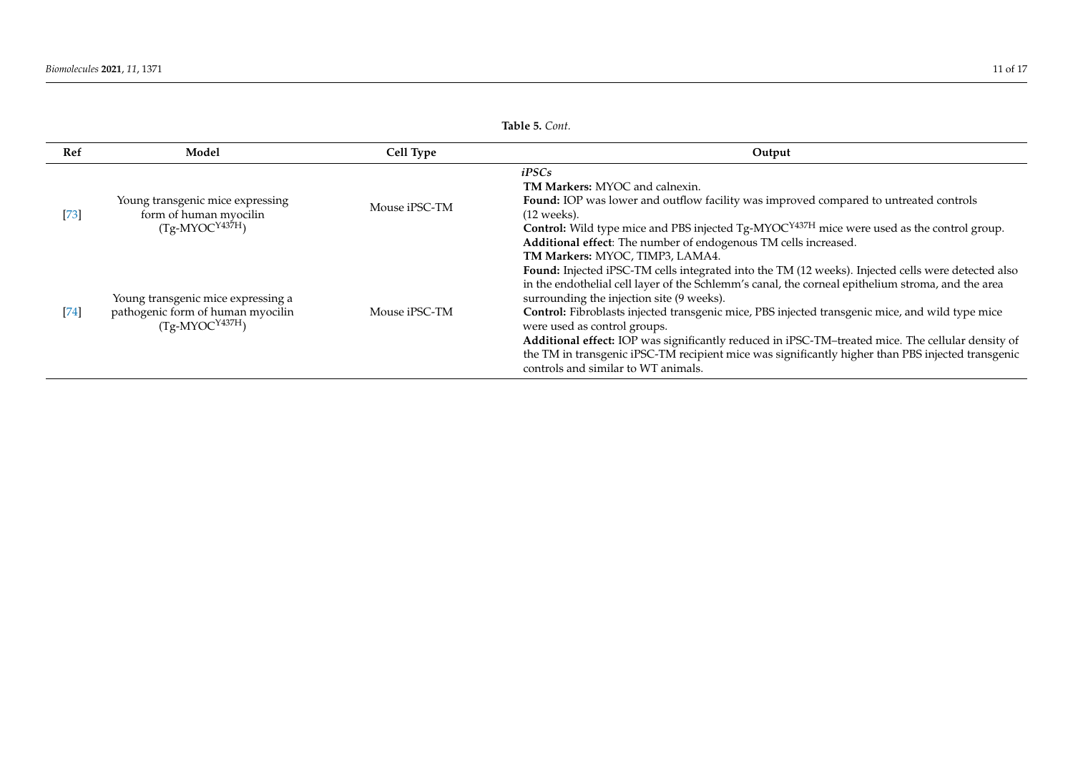<span id="page-10-0"></span>

|        |                                                                                                        |               | Table 5. Cont.                                                                                                                                                                                                                                                                                                                                                                                                                                                                                                                                                                                                                           |  |
|--------|--------------------------------------------------------------------------------------------------------|---------------|------------------------------------------------------------------------------------------------------------------------------------------------------------------------------------------------------------------------------------------------------------------------------------------------------------------------------------------------------------------------------------------------------------------------------------------------------------------------------------------------------------------------------------------------------------------------------------------------------------------------------------------|--|
| Ref    | Model                                                                                                  | Cell Type     | Output                                                                                                                                                                                                                                                                                                                                                                                                                                                                                                                                                                                                                                   |  |
| $[73]$ | Young transgenic mice expressing<br>form of human myocilin<br>$(Tg-MYOC^{Y437H})$                      | Mouse iPSC-TM | iPSCs<br><b>TM Markers: MYOC and calnexin.</b><br><b>Found:</b> IOP was lower and outflow facility was improved compared to untreated controls<br>$(12$ weeks).<br><b>Control:</b> Wild type mice and PBS injected $Tg$ -MYOC <sup>Y437H</sup> mice were used as the control group.<br>Additional effect: The number of endogenous TM cells increased.<br>TM Markers: MYOC, TIMP3, LAMA4.                                                                                                                                                                                                                                                |  |
| $[74]$ | Young transgenic mice expressing a<br>pathogenic form of human myocilin<br>(Tg-MYOC <sup>Y437H</sup> ) | Mouse iPSC-TM | Found: Injected iPSC-TM cells integrated into the TM (12 weeks). Injected cells were detected also<br>in the endothelial cell layer of the Schlemm's canal, the corneal epithelium stroma, and the area<br>surrounding the injection site (9 weeks).<br>Control: Fibroblasts injected transgenic mice, PBS injected transgenic mice, and wild type mice<br>were used as control groups.<br>Additional effect: IOP was significantly reduced in iPSC-TM-treated mice. The cellular density of<br>the TM in transgenic iPSC-TM recipient mice was significantly higher than PBS injected transgenic<br>controls and similar to WT animals. |  |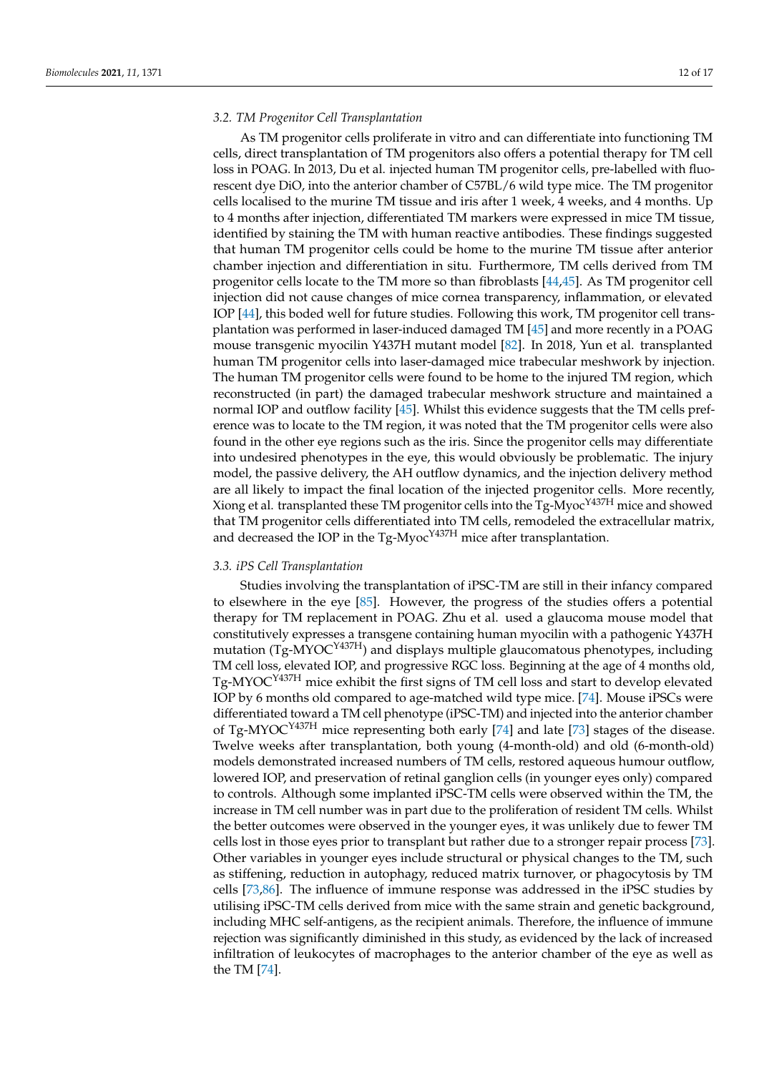## *3.2. TM Progenitor Cell Transplantation*

As TM progenitor cells proliferate in vitro and can differentiate into functioning TM cells, direct transplantation of TM progenitors also offers a potential therapy for TM cell loss in POAG. In 2013, Du et al. injected human TM progenitor cells, pre-labelled with fluorescent dye DiO, into the anterior chamber of C57BL/6 wild type mice. The TM progenitor cells localised to the murine TM tissue and iris after 1 week, 4 weeks, and 4 months. Up to 4 months after injection, differentiated TM markers were expressed in mice TM tissue, identified by staining the TM with human reactive antibodies. These findings suggested that human TM progenitor cells could be home to the murine TM tissue after anterior chamber injection and differentiation in situ. Furthermore, TM cells derived from TM progenitor cells locate to the TM more so than fibroblasts [\[44,](#page-15-3)[45\]](#page-15-25). As TM progenitor cell injection did not cause changes of mice cornea transparency, inflammation, or elevated IOP [\[44\]](#page-15-3), this boded well for future studies. Following this work, TM progenitor cell transplantation was performed in laser-induced damaged TM [\[45\]](#page-15-25) and more recently in a POAG mouse transgenic myocilin Y437H mutant model [\[82\]](#page-16-25). In 2018, Yun et al. transplanted human TM progenitor cells into laser-damaged mice trabecular meshwork by injection. The human TM progenitor cells were found to be home to the injured TM region, which reconstructed (in part) the damaged trabecular meshwork structure and maintained a normal IOP and outflow facility [\[45\]](#page-15-25). Whilst this evidence suggests that the TM cells preference was to locate to the TM region, it was noted that the TM progenitor cells were also found in the other eye regions such as the iris. Since the progenitor cells may differentiate into undesired phenotypes in the eye, this would obviously be problematic. The injury model, the passive delivery, the AH outflow dynamics, and the injection delivery method are all likely to impact the final location of the injected progenitor cells. More recently, Xiong et al. transplanted these TM progenitor cells into the Tg-Myoc<sup>Y437H</sup> mice and showed that TM progenitor cells differentiated into TM cells, remodeled the extracellular matrix, and decreased the IOP in the Tg-Myoc<sup>Y437H</sup> mice after transplantation.

#### *3.3. iPS Cell Transplantation*

Studies involving the transplantation of iPSC-TM are still in their infancy compared to elsewhere in the eye [\[85\]](#page-16-26). However, the progress of the studies offers a potential therapy for TM replacement in POAG. Zhu et al. used a glaucoma mouse model that constitutively expresses a transgene containing human myocilin with a pathogenic Y437H mutation (Tg-MYOCY437H) and displays multiple glaucomatous phenotypes, including TM cell loss, elevated IOP, and progressive RGC loss. Beginning at the age of 4 months old, Tg-MYOCY437H mice exhibit the first signs of TM cell loss and start to develop elevated IOP by 6 months old compared to age-matched wild type mice. [\[74\]](#page-16-7). Mouse iPSCs were differentiated toward a TM cell phenotype (iPSC-TM) and injected into the anterior chamber of Tg-MYOC<sup>Y437H</sup> mice representing both early [\[74\]](#page-16-7) and late [\[73\]](#page-16-6) stages of the disease. Twelve weeks after transplantation, both young (4-month-old) and old (6-month-old) models demonstrated increased numbers of TM cells, restored aqueous humour outflow, lowered IOP, and preservation of retinal ganglion cells (in younger eyes only) compared to controls. Although some implanted iPSC-TM cells were observed within the TM, the increase in TM cell number was in part due to the proliferation of resident TM cells. Whilst the better outcomes were observed in the younger eyes, it was unlikely due to fewer TM cells lost in those eyes prior to transplant but rather due to a stronger repair process [\[73\]](#page-16-6). Other variables in younger eyes include structural or physical changes to the TM, such as stiffening, reduction in autophagy, reduced matrix turnover, or phagocytosis by TM cells [\[73](#page-16-6)[,86\]](#page-16-27). The influence of immune response was addressed in the iPSC studies by utilising iPSC-TM cells derived from mice with the same strain and genetic background, including MHC self-antigens, as the recipient animals. Therefore, the influence of immune rejection was significantly diminished in this study, as evidenced by the lack of increased infiltration of leukocytes of macrophages to the anterior chamber of the eye as well as the TM [\[74\]](#page-16-7).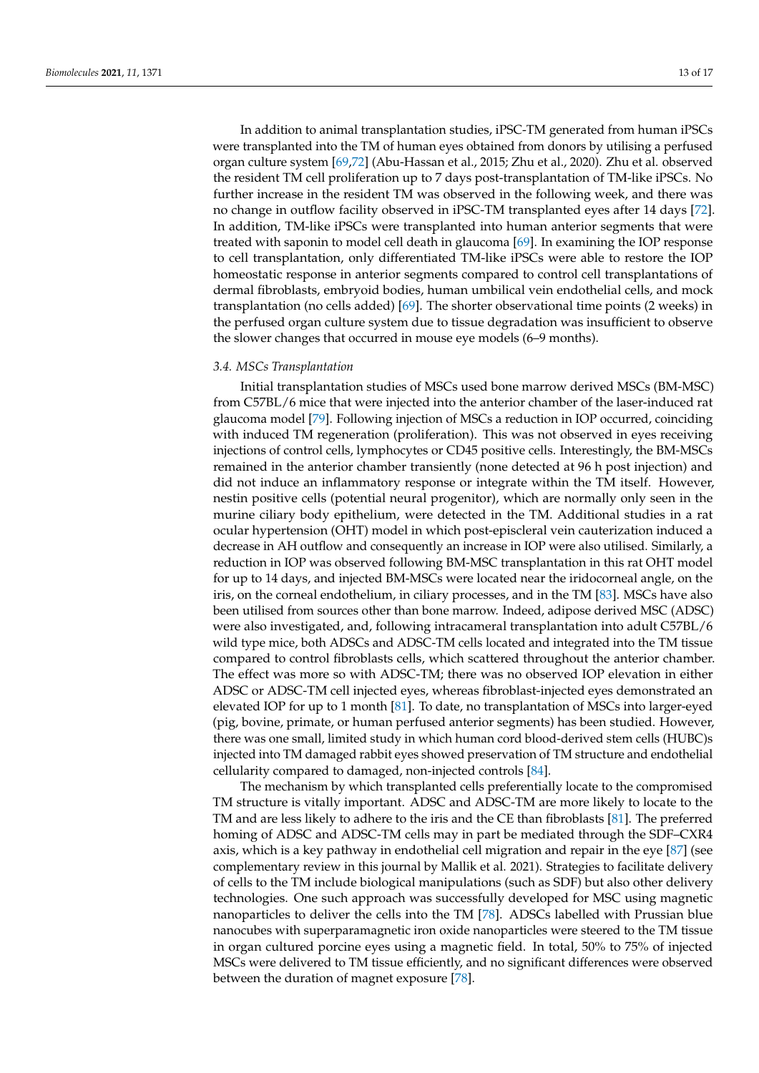In addition to animal transplantation studies, iPSC-TM generated from human iPSCs were transplanted into the TM of human eyes obtained from donors by utilising a perfused organ culture system [\[69,](#page-16-2)[72\]](#page-16-5) (Abu-Hassan et al., 2015; Zhu et al., 2020). Zhu et al. observed the resident TM cell proliferation up to 7 days post-transplantation of TM-like iPSCs. No further increase in the resident TM was observed in the following week, and there was no change in outflow facility observed in iPSC-TM transplanted eyes after 14 days [\[72\]](#page-16-5). In addition, TM-like iPSCs were transplanted into human anterior segments that were treated with saponin to model cell death in glaucoma [\[69\]](#page-16-2). In examining the IOP response to cell transplantation, only differentiated TM-like iPSCs were able to restore the IOP homeostatic response in anterior segments compared to control cell transplantations of dermal fibroblasts, embryoid bodies, human umbilical vein endothelial cells, and mock transplantation (no cells added) [\[69\]](#page-16-2). The shorter observational time points (2 weeks) in the perfused organ culture system due to tissue degradation was insufficient to observe the slower changes that occurred in mouse eye models (6–9 months).

#### *3.4. MSCs Transplantation*

Initial transplantation studies of MSCs used bone marrow derived MSCs (BM-MSC) from C57BL/6 mice that were injected into the anterior chamber of the laser-induced rat glaucoma model [\[79\]](#page-16-12). Following injection of MSCs a reduction in IOP occurred, coinciding with induced TM regeneration (proliferation). This was not observed in eyes receiving injections of control cells, lymphocytes or CD45 positive cells. Interestingly, the BM-MSCs remained in the anterior chamber transiently (none detected at 96 h post injection) and did not induce an inflammatory response or integrate within the TM itself. However, nestin positive cells (potential neural progenitor), which are normally only seen in the murine ciliary body epithelium, were detected in the TM. Additional studies in a rat ocular hypertension (OHT) model in which post-episcleral vein cauterization induced a decrease in AH outflow and consequently an increase in IOP were also utilised. Similarly, a reduction in IOP was observed following BM-MSC transplantation in this rat OHT model for up to 14 days, and injected BM-MSCs were located near the iridocorneal angle, on the iris, on the corneal endothelium, in ciliary processes, and in the TM [\[83\]](#page-16-28). MSCs have also been utilised from sources other than bone marrow. Indeed, adipose derived MSC (ADSC) were also investigated, and, following intracameral transplantation into adult C57BL/6 wild type mice, both ADSCs and ADSC-TM cells located and integrated into the TM tissue compared to control fibroblasts cells, which scattered throughout the anterior chamber. The effect was more so with ADSC-TM; there was no observed IOP elevation in either ADSC or ADSC-TM cell injected eyes, whereas fibroblast-injected eyes demonstrated an elevated IOP for up to 1 month [\[81\]](#page-16-14). To date, no transplantation of MSCs into larger-eyed (pig, bovine, primate, or human perfused anterior segments) has been studied. However, there was one small, limited study in which human cord blood-derived stem cells (HUBC)s injected into TM damaged rabbit eyes showed preservation of TM structure and endothelial cellularity compared to damaged, non-injected controls [\[84\]](#page-16-29).

The mechanism by which transplanted cells preferentially locate to the compromised TM structure is vitally important. ADSC and ADSC-TM are more likely to locate to the TM and are less likely to adhere to the iris and the CE than fibroblasts [\[81\]](#page-16-14). The preferred homing of ADSC and ADSC-TM cells may in part be mediated through the SDF–CXR4 axis, which is a key pathway in endothelial cell migration and repair in the eye [\[87\]](#page-16-30) (see complementary review in this journal by Mallik et al. 2021). Strategies to facilitate delivery of cells to the TM include biological manipulations (such as SDF) but also other delivery technologies. One such approach was successfully developed for MSC using magnetic nanoparticles to deliver the cells into the TM [\[78\]](#page-16-11). ADSCs labelled with Prussian blue nanocubes with superparamagnetic iron oxide nanoparticles were steered to the TM tissue in organ cultured porcine eyes using a magnetic field. In total, 50% to 75% of injected MSCs were delivered to TM tissue efficiently, and no significant differences were observed between the duration of magnet exposure [\[78\]](#page-16-11).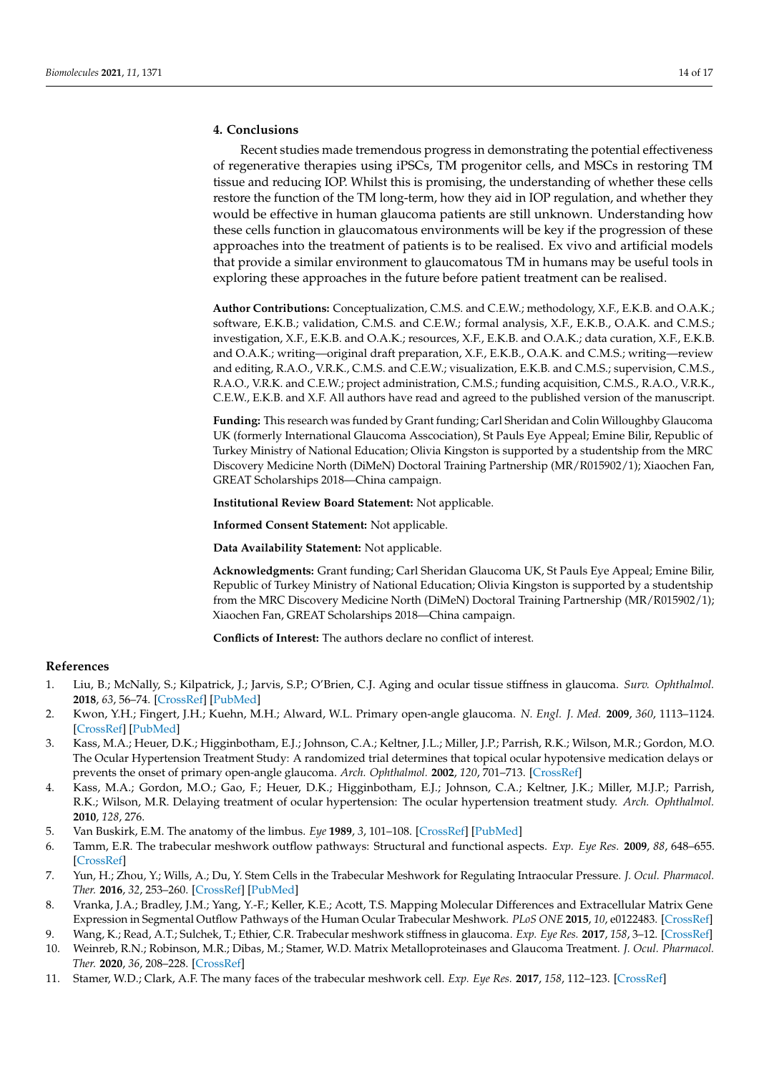# **4. Conclusions**

Recent studies made tremendous progress in demonstrating the potential effectiveness of regenerative therapies using iPSCs, TM progenitor cells, and MSCs in restoring TM tissue and reducing IOP. Whilst this is promising, the understanding of whether these cells restore the function of the TM long-term, how they aid in IOP regulation, and whether they would be effective in human glaucoma patients are still unknown. Understanding how these cells function in glaucomatous environments will be key if the progression of these approaches into the treatment of patients is to be realised. Ex vivo and artificial models that provide a similar environment to glaucomatous TM in humans may be useful tools in exploring these approaches in the future before patient treatment can be realised.

**Author Contributions:** Conceptualization, C.M.S. and C.E.W.; methodology, X.F., E.K.B. and O.A.K.; software, E.K.B.; validation, C.M.S. and C.E.W.; formal analysis, X.F., E.K.B., O.A.K. and C.M.S.; investigation, X.F., E.K.B. and O.A.K.; resources, X.F., E.K.B. and O.A.K.; data curation, X.F., E.K.B. and O.A.K.; writing—original draft preparation, X.F., E.K.B., O.A.K. and C.M.S.; writing—review and editing, R.A.O., V.R.K., C.M.S. and C.E.W.; visualization, E.K.B. and C.M.S.; supervision, C.M.S., R.A.O., V.R.K. and C.E.W.; project administration, C.M.S.; funding acquisition, C.M.S., R.A.O., V.R.K., C.E.W., E.K.B. and X.F. All authors have read and agreed to the published version of the manuscript.

**Funding:** This research was funded by Grant funding; Carl Sheridan and Colin Willoughby Glaucoma UK (formerly International Glaucoma Asscociation), St Pauls Eye Appeal; Emine Bilir, Republic of Turkey Ministry of National Education; Olivia Kingston is supported by a studentship from the MRC Discovery Medicine North (DiMeN) Doctoral Training Partnership (MR/R015902/1); Xiaochen Fan, GREAT Scholarships 2018—China campaign.

**Institutional Review Board Statement:** Not applicable.

**Informed Consent Statement:** Not applicable.

**Data Availability Statement:** Not applicable.

**Acknowledgments:** Grant funding; Carl Sheridan Glaucoma UK, St Pauls Eye Appeal; Emine Bilir, Republic of Turkey Ministry of National Education; Olivia Kingston is supported by a studentship from the MRC Discovery Medicine North (DiMeN) Doctoral Training Partnership (MR/R015902/1); Xiaochen Fan, GREAT Scholarships 2018—China campaign.

**Conflicts of Interest:** The authors declare no conflict of interest.

#### **References**

- <span id="page-13-0"></span>1. Liu, B.; McNally, S.; Kilpatrick, J.; Jarvis, S.P.; O'Brien, C.J. Aging and ocular tissue stiffness in glaucoma. *Surv. Ophthalmol.* **2018**, *63*, 56–74. [\[CrossRef\]](http://doi.org/10.1016/j.survophthal.2017.06.007) [\[PubMed\]](http://www.ncbi.nlm.nih.gov/pubmed/28666629)
- <span id="page-13-1"></span>2. Kwon, Y.H.; Fingert, J.H.; Kuehn, M.H.; Alward, W.L. Primary open-angle glaucoma. *N. Engl. J. Med.* **2009**, *360*, 1113–1124. [\[CrossRef\]](http://doi.org/10.1056/NEJMra0804630) [\[PubMed\]](http://www.ncbi.nlm.nih.gov/pubmed/19279343)
- 3. Kass, M.A.; Heuer, D.K.; Higginbotham, E.J.; Johnson, C.A.; Keltner, J.L.; Miller, J.P.; Parrish, R.K.; Wilson, M.R.; Gordon, M.O. The Ocular Hypertension Treatment Study: A randomized trial determines that topical ocular hypotensive medication delays or prevents the onset of primary open-angle glaucoma. *Arch. Ophthalmol.* **2002**, *120*, 701–713. [\[CrossRef\]](http://doi.org/10.1001/archopht.120.6.701)
- <span id="page-13-2"></span>4. Kass, M.A.; Gordon, M.O.; Gao, F.; Heuer, D.K.; Higginbotham, E.J.; Johnson, C.A.; Keltner, J.K.; Miller, M.J.P.; Parrish, R.K.; Wilson, M.R. Delaying treatment of ocular hypertension: The ocular hypertension treatment study. *Arch. Ophthalmol.* **2010**, *128*, 276.
- <span id="page-13-3"></span>5. Van Buskirk, E.M. The anatomy of the limbus. *Eye* **1989**, *3*, 101–108. [\[CrossRef\]](http://doi.org/10.1038/eye.1989.16) [\[PubMed\]](http://www.ncbi.nlm.nih.gov/pubmed/2695343)
- 6. Tamm, E.R. The trabecular meshwork outflow pathways: Structural and functional aspects. *Exp. Eye Res.* **2009**, *88*, 648–655. [\[CrossRef\]](http://doi.org/10.1016/j.exer.2009.02.007)
- <span id="page-13-4"></span>7. Yun, H.; Zhou, Y.; Wills, A.; Du, Y. Stem Cells in the Trabecular Meshwork for Regulating Intraocular Pressure. *J. Ocul. Pharmacol. Ther.* **2016**, *32*, 253–260. [\[CrossRef\]](http://doi.org/10.1089/jop.2016.0005) [\[PubMed\]](http://www.ncbi.nlm.nih.gov/pubmed/27183473)
- <span id="page-13-5"></span>8. Vranka, J.A.; Bradley, J.M.; Yang, Y.-F.; Keller, K.E.; Acott, T.S. Mapping Molecular Differences and Extracellular Matrix Gene Expression in Segmental Outflow Pathways of the Human Ocular Trabecular Meshwork. *PLoS ONE* **2015**, *10*, e0122483. [\[CrossRef\]](http://doi.org/10.1371/journal.pone.0122483)
- <span id="page-13-7"></span><span id="page-13-6"></span>9. Wang, K.; Read, A.T.; Sulchek, T.; Ethier, C.R. Trabecular meshwork stiffness in glaucoma. *Exp. Eye Res.* **2017**, *158*, 3–12. [\[CrossRef\]](http://doi.org/10.1016/j.exer.2016.07.011) 10. Weinreb, R.N.; Robinson, M.R.; Dibas, M.; Stamer, W.D. Matrix Metalloproteinases and Glaucoma Treatment. *J. Ocul. Pharmacol. Ther.* **2020**, *36*, 208–228. [\[CrossRef\]](http://doi.org/10.1089/jop.2019.0146)
- <span id="page-13-8"></span>11. Stamer, W.D.; Clark, A.F. The many faces of the trabecular meshwork cell. *Exp. Eye Res.* **2017**, *158*, 112–123. [\[CrossRef\]](http://doi.org/10.1016/j.exer.2016.07.009)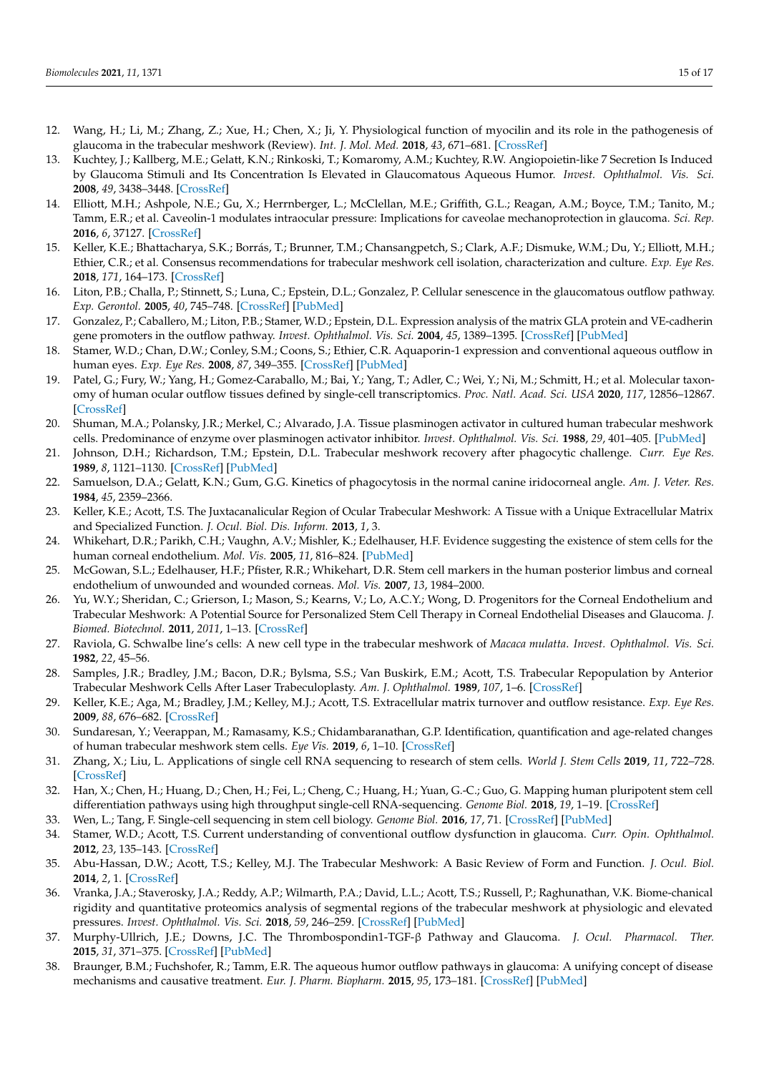- <span id="page-14-0"></span>12. Wang, H.; Li, M.; Zhang, Z.; Xue, H.; Chen, X.; Ji, Y. Physiological function of myocilin and its role in the pathogenesis of glaucoma in the trabecular meshwork (Review). *Int. J. Mol. Med.* **2018**, *43*, 671–681. [\[CrossRef\]](http://doi.org/10.3892/ijmm.2018.3992)
- <span id="page-14-1"></span>13. Kuchtey, J.; Kallberg, M.E.; Gelatt, K.N.; Rinkoski, T.; Komaromy, A.M.; Kuchtey, R.W. Angiopoietin-like 7 Secretion Is Induced by Glaucoma Stimuli and Its Concentration Is Elevated in Glaucomatous Aqueous Humor. *Invest. Ophthalmol. Vis. Sci.* **2008**, *49*, 3438–3448. [\[CrossRef\]](http://doi.org/10.1167/iovs.07-1347)
- <span id="page-14-2"></span>14. Elliott, M.H.; Ashpole, N.E.; Gu, X.; Herrnberger, L.; McClellan, M.E.; Griffith, G.L.; Reagan, A.M.; Boyce, T.M.; Tanito, M.; Tamm, E.R.; et al. Caveolin-1 modulates intraocular pressure: Implications for caveolae mechanoprotection in glaucoma. *Sci. Rep.* **2016**, *6*, 37127. [\[CrossRef\]](http://doi.org/10.1038/srep37127)
- <span id="page-14-3"></span>15. Keller, K.E.; Bhattacharya, S.K.; Borrás, T.; Brunner, T.M.; Chansangpetch, S.; Clark, A.F.; Dismuke, W.M.; Du, Y.; Elliott, M.H.; Ethier, C.R.; et al. Consensus recommendations for trabecular meshwork cell isolation, characterization and culture. *Exp. Eye Res.* **2018**, *171*, 164–173. [\[CrossRef\]](http://doi.org/10.1016/j.exer.2018.03.001)
- <span id="page-14-4"></span>16. Liton, P.B.; Challa, P.; Stinnett, S.; Luna, C.; Epstein, D.L.; Gonzalez, P. Cellular senescence in the glaucomatous outflow pathway. *Exp. Gerontol.* **2005**, *40*, 745–748. [\[CrossRef\]](http://doi.org/10.1016/j.exger.2005.06.005) [\[PubMed\]](http://www.ncbi.nlm.nih.gov/pubmed/16051457)
- <span id="page-14-5"></span>17. Gonzalez, P.; Caballero, M.; Liton, P.B.; Stamer, W.D.; Epstein, D.L. Expression analysis of the matrix GLA protein and VE-cadherin gene promoters in the outflow pathway. *Invest. Ophthalmol. Vis. Sci.* **2004**, *45*, 1389–1395. [\[CrossRef\]](http://doi.org/10.1167/iovs.03-0537) [\[PubMed\]](http://www.ncbi.nlm.nih.gov/pubmed/15111593)
- <span id="page-14-6"></span>18. Stamer, W.D.; Chan, D.W.; Conley, S.M.; Coons, S.; Ethier, C.R. Aquaporin-1 expression and conventional aqueous outflow in human eyes. *Exp. Eye Res.* **2008**, *87*, 349–355. [\[CrossRef\]](http://doi.org/10.1016/j.exer.2008.06.018) [\[PubMed\]](http://www.ncbi.nlm.nih.gov/pubmed/18657536)
- <span id="page-14-7"></span>19. Patel, G.; Fury, W.; Yang, H.; Gomez-Caraballo, M.; Bai, Y.; Yang, T.; Adler, C.; Wei, Y.; Ni, M.; Schmitt, H.; et al. Molecular taxonomy of human ocular outflow tissues defined by single-cell transcriptomics. *Proc. Natl. Acad. Sci. USA* **2020**, *117*, 12856–12867. [\[CrossRef\]](http://doi.org/10.1073/pnas.2001896117)
- <span id="page-14-8"></span>20. Shuman, M.A.; Polansky, J.R.; Merkel, C.; Alvarado, J.A. Tissue plasminogen activator in cultured human trabecular meshwork cells. Predominance of enzyme over plasminogen activator inhibitor. *Invest. Ophthalmol. Vis. Sci.* **1988**, *29*, 401–405. [\[PubMed\]](http://www.ncbi.nlm.nih.gov/pubmed/3125123)
- 21. Johnson, D.H.; Richardson, T.M.; Epstein, D.L. Trabecular meshwork recovery after phagocytic challenge. *Curr. Eye Res.* **1989**, *8*, 1121–1130. [\[CrossRef\]](http://doi.org/10.3109/02713688909000037) [\[PubMed\]](http://www.ncbi.nlm.nih.gov/pubmed/2612200)
- 22. Samuelson, D.A.; Gelatt, K.N.; Gum, G.G. Kinetics of phagocytosis in the normal canine iridocorneal angle. *Am. J. Veter. Res.* **1984**, *45*, 2359–2366.
- <span id="page-14-9"></span>23. Keller, K.E.; Acott, T.S. The Juxtacanalicular Region of Ocular Trabecular Meshwork: A Tissue with a Unique Extracellular Matrix and Specialized Function. *J. Ocul. Biol. Dis. Inform.* **2013**, *1*, 3.
- <span id="page-14-10"></span>24. Whikehart, D.R.; Parikh, C.H.; Vaughn, A.V.; Mishler, K.; Edelhauser, H.F. Evidence suggesting the existence of stem cells for the human corneal endothelium. *Mol. Vis.* **2005**, *11*, 816–824. [\[PubMed\]](http://www.ncbi.nlm.nih.gov/pubmed/16205623)
- <span id="page-14-11"></span>25. McGowan, S.L.; Edelhauser, H.F.; Pfister, R.R.; Whikehart, D.R. Stem cell markers in the human posterior limbus and corneal endothelium of unwounded and wounded corneas. *Mol. Vis.* **2007**, *13*, 1984–2000.
- <span id="page-14-15"></span>26. Yu, W.Y.; Sheridan, C.; Grierson, I.; Mason, S.; Kearns, V.; Lo, A.C.Y.; Wong, D. Progenitors for the Corneal Endothelium and Trabecular Meshwork: A Potential Source for Personalized Stem Cell Therapy in Corneal Endothelial Diseases and Glaucoma. *J. Biomed. Biotechnol.* **2011**, *2011*, 1–13. [\[CrossRef\]](http://doi.org/10.1155/2011/412743)
- <span id="page-14-12"></span>27. Raviola, G. Schwalbe line's cells: A new cell type in the trabecular meshwork of *Macaca mulatta*. *Invest. Ophthalmol. Vis. Sci.* **1982**, *22*, 45–56.
- <span id="page-14-13"></span>28. Samples, J.R.; Bradley, J.M.; Bacon, D.R.; Bylsma, S.S.; Van Buskirk, E.M.; Acott, T.S. Trabecular Repopulation by Anterior Trabecular Meshwork Cells After Laser Trabeculoplasty. *Am. J. Ophthalmol.* **1989**, *107*, 1–6. [\[CrossRef\]](http://doi.org/10.1016/0002-9394(89)90805-2)
- <span id="page-14-14"></span>29. Keller, K.E.; Aga, M.; Bradley, J.M.; Kelley, M.J.; Acott, T.S. Extracellular matrix turnover and outflow resistance. *Exp. Eye Res.* **2009**, *88*, 676–682. [\[CrossRef\]](http://doi.org/10.1016/j.exer.2008.11.023)
- <span id="page-14-16"></span>30. Sundaresan, Y.; Veerappan, M.; Ramasamy, K.S.; Chidambaranathan, G.P. Identification, quantification and age-related changes of human trabecular meshwork stem cells. *Eye Vis.* **2019**, *6*, 1–10. [\[CrossRef\]](http://doi.org/10.1186/s40662-019-0156-z)
- <span id="page-14-17"></span>31. Zhang, X.; Liu, L. Applications of single cell RNA sequencing to research of stem cells. *World J. Stem Cells* **2019**, *11*, 722–728. [\[CrossRef\]](http://doi.org/10.4252/wjsc.v11.i10.722)
- <span id="page-14-18"></span>32. Han, X.; Chen, H.; Huang, D.; Chen, H.; Fei, L.; Cheng, C.; Huang, H.; Yuan, G.-C.; Guo, G. Mapping human pluripotent stem cell differentiation pathways using high throughput single-cell RNA-sequencing. *Genome Biol.* **2018**, *19*, 1–19. [\[CrossRef\]](http://doi.org/10.1186/s13059-018-1426-0)
- <span id="page-14-19"></span>33. Wen, L.; Tang, F. Single-cell sequencing in stem cell biology. *Genome Biol.* **2016**, *17*, 71. [\[CrossRef\]](http://doi.org/10.1186/s13059-016-0941-0) [\[PubMed\]](http://www.ncbi.nlm.nih.gov/pubmed/27083874)
- <span id="page-14-20"></span>34. Stamer, W.D.; Acott, T.S. Current understanding of conventional outflow dysfunction in glaucoma. *Curr. Opin. Ophthalmol.* **2012**, *23*, 135–143. [\[CrossRef\]](http://doi.org/10.1097/ICU.0b013e32834ff23e)
- <span id="page-14-21"></span>35. Abu-Hassan, D.W.; Acott, T.S.; Kelley, M.J. The Trabecular Meshwork: A Basic Review of Form and Function. *J. Ocul. Biol.* **2014**, *2*, 1. [\[CrossRef\]](http://doi.org/10.13188/2334-2838.1000017)
- <span id="page-14-22"></span>36. Vranka, J.A.; Staverosky, J.A.; Reddy, A.P.; Wilmarth, P.A.; David, L.L.; Acott, T.S.; Russell, P.; Raghunathan, V.K. Biome-chanical rigidity and quantitative proteomics analysis of segmental regions of the trabecular meshwork at physiologic and elevated pressures. *Invest. Ophthalmol. Vis. Sci.* **2018**, *59*, 246–259. [\[CrossRef\]](http://doi.org/10.1167/iovs.17-22759) [\[PubMed\]](http://www.ncbi.nlm.nih.gov/pubmed/29340639)
- <span id="page-14-23"></span>37. Murphy-Ullrich, J.E.; Downs, J.C. The Thrombospondin1-TGF-β Pathway and Glaucoma. *J. Ocul. Pharmacol. Ther.* **2015**, *31*, 371–375. [\[CrossRef\]](http://doi.org/10.1089/jop.2015.0016) [\[PubMed\]](http://www.ncbi.nlm.nih.gov/pubmed/26352161)
- 38. Braunger, B.M.; Fuchshofer, R.; Tamm, E.R. The aqueous humor outflow pathways in glaucoma: A unifying concept of disease mechanisms and causative treatment. *Eur. J. Pharm. Biopharm.* **2015**, *95*, 173–181. [\[CrossRef\]](http://doi.org/10.1016/j.ejpb.2015.04.029) [\[PubMed\]](http://www.ncbi.nlm.nih.gov/pubmed/25957840)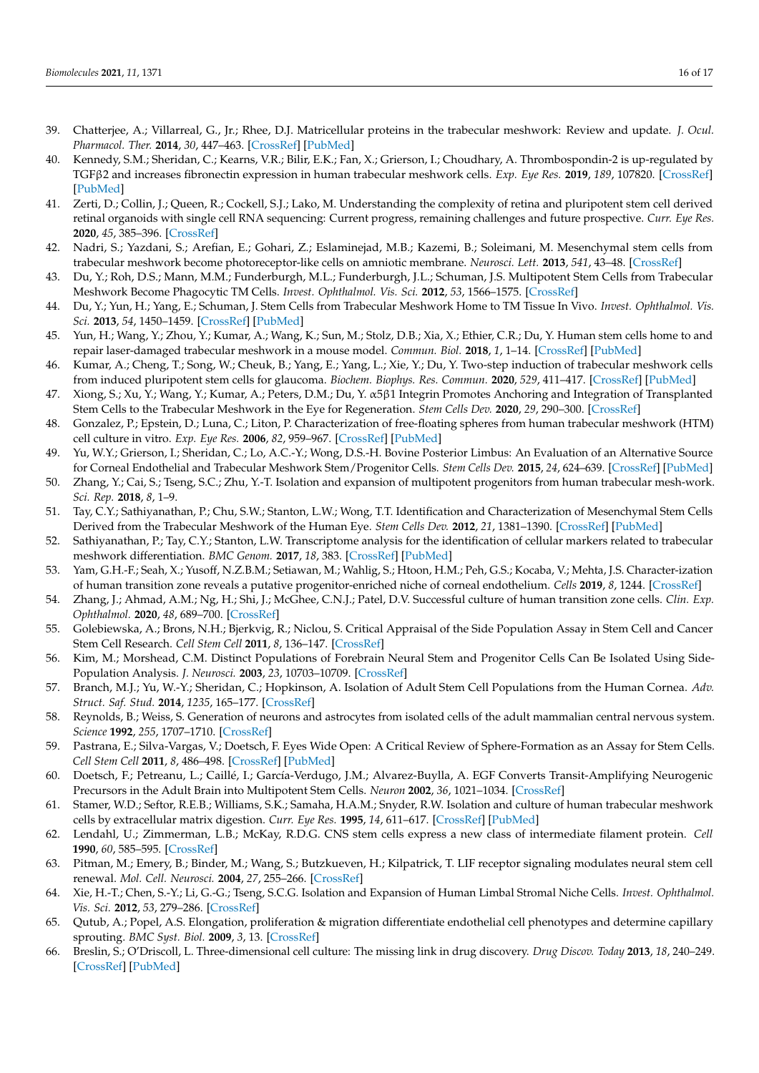- <span id="page-15-27"></span><span id="page-15-26"></span>39. Chatterjee, A.; Villarreal, G., Jr.; Rhee, D.J. Matricellular proteins in the trabecular meshwork: Review and update. *J. Ocul. Pharmacol. Ther.* **2014**, *30*, 447–463. [\[CrossRef\]](http://doi.org/10.1089/jop.2014.0013) [\[PubMed\]](http://www.ncbi.nlm.nih.gov/pubmed/24901502)
- 40. Kennedy, S.M.; Sheridan, C.; Kearns, V.R.; Bilir, E.K.; Fan, X.; Grierson, I.; Choudhary, A. Thrombospondin-2 is up-regulated by TGFβ2 and increases fibronectin expression in human trabecular meshwork cells. *Exp. Eye Res.* **2019**, *189*, 107820. [\[CrossRef\]](http://doi.org/10.1016/j.exer.2019.107820) [\[PubMed\]](http://www.ncbi.nlm.nih.gov/pubmed/31589839)
- <span id="page-15-0"></span>41. Zerti, D.; Collin, J.; Queen, R.; Cockell, S.J.; Lako, M. Understanding the complexity of retina and pluripotent stem cell derived retinal organoids with single cell RNA sequencing: Current progress, remaining challenges and future prospective. *Curr. Eye Res.* **2020**, *45*, 385–396. [\[CrossRef\]](http://doi.org/10.1080/02713683.2019.1697453)
- <span id="page-15-1"></span>42. Nadri, S.; Yazdani, S.; Arefian, E.; Gohari, Z.; Eslaminejad, M.B.; Kazemi, B.; Soleimani, M. Mesenchymal stem cells from trabecular meshwork become photoreceptor-like cells on amniotic membrane. *Neurosci. Lett.* **2013**, *541*, 43–48. [\[CrossRef\]](http://doi.org/10.1016/j.neulet.2012.12.055)
- <span id="page-15-2"></span>43. Du, Y.; Roh, D.S.; Mann, M.M.; Funderburgh, M.L.; Funderburgh, J.L.; Schuman, J.S. Multipotent Stem Cells from Trabecular Meshwork Become Phagocytic TM Cells. *Invest. Ophthalmol. Vis. Sci.* **2012**, *53*, 1566–1575. [\[CrossRef\]](http://doi.org/10.1167/iovs.11-9134)
- <span id="page-15-3"></span>44. Du, Y.; Yun, H.; Yang, E.; Schuman, J. Stem Cells from Trabecular Meshwork Home to TM Tissue In Vivo. *Invest. Ophthalmol. Vis. Sci.* **2013**, *54*, 1450–1459. [\[CrossRef\]](http://doi.org/10.1167/iovs.12-11056) [\[PubMed\]](http://www.ncbi.nlm.nih.gov/pubmed/23341019)
- <span id="page-15-25"></span>45. Yun, H.; Wang, Y.; Zhou, Y.; Kumar, A.; Wang, K.; Sun, M.; Stolz, D.B.; Xia, X.; Ethier, C.R.; Du, Y. Human stem cells home to and repair laser-damaged trabecular meshwork in a mouse model. *Commun. Biol.* **2018**, *1*, 1–14. [\[CrossRef\]](http://doi.org/10.1038/s42003-018-0227-z) [\[PubMed\]](http://www.ncbi.nlm.nih.gov/pubmed/30534608)
- <span id="page-15-24"></span>46. Kumar, A.; Cheng, T.; Song, W.; Cheuk, B.; Yang, E.; Yang, L.; Xie, Y.; Du, Y. Two-step induction of trabecular meshwork cells from induced pluripotent stem cells for glaucoma. *Biochem. Biophys. Res. Commun.* **2020**, *529*, 411–417. [\[CrossRef\]](http://doi.org/10.1016/j.bbrc.2020.05.225) [\[PubMed\]](http://www.ncbi.nlm.nih.gov/pubmed/32703444)
- <span id="page-15-4"></span>47. Xiong, S.; Xu, Y.; Wang, Y.; Kumar, A.; Peters, D.M.; Du, Y. α5β1 Integrin Promotes Anchoring and Integration of Transplanted Stem Cells to the Trabecular Meshwork in the Eye for Regeneration. *Stem Cells Dev.* **2020**, *29*, 290–300. [\[CrossRef\]](http://doi.org/10.1089/scd.2019.0254)
- <span id="page-15-5"></span>48. Gonzalez, P.; Epstein, D.; Luna, C.; Liton, P. Characterization of free-floating spheres from human trabecular meshwork (HTM) cell culture in vitro. *Exp. Eye Res.* **2006**, *82*, 959–967. [\[CrossRef\]](http://doi.org/10.1016/j.exer.2005.10.006) [\[PubMed\]](http://www.ncbi.nlm.nih.gov/pubmed/16310191)
- <span id="page-15-6"></span>49. Yu, W.Y.; Grierson, I.; Sheridan, C.; Lo, A.C.-Y.; Wong, D.S.-H. Bovine Posterior Limbus: An Evaluation of an Alternative Source for Corneal Endothelial and Trabecular Meshwork Stem/Progenitor Cells. *Stem Cells Dev.* **2015**, *24*, 624–639. [\[CrossRef\]](http://doi.org/10.1089/scd.2014.0257) [\[PubMed\]](http://www.ncbi.nlm.nih.gov/pubmed/25323922)
- <span id="page-15-7"></span>50. Zhang, Y.; Cai, S.; Tseng, S.C.; Zhu, Y.-T. Isolation and expansion of multipotent progenitors from human trabecular mesh-work. *Sci. Rep.* **2018**, *8*, 1–9.
- <span id="page-15-8"></span>51. Tay, C.Y.; Sathiyanathan, P.; Chu, S.W.; Stanton, L.W.; Wong, T.T. Identification and Characterization of Mesenchymal Stem Cells Derived from the Trabecular Meshwork of the Human Eye. *Stem Cells Dev.* **2012**, *21*, 1381–1390. [\[CrossRef\]](http://doi.org/10.1089/scd.2011.0655) [\[PubMed\]](http://www.ncbi.nlm.nih.gov/pubmed/22364584)
- <span id="page-15-9"></span>52. Sathiyanathan, P.; Tay, C.Y.; Stanton, L.W. Transcriptome analysis for the identification of cellular markers related to trabecular meshwork differentiation. *BMC Genom.* **2017**, *18*, 383. [\[CrossRef\]](http://doi.org/10.1186/s12864-017-3758-7) [\[PubMed\]](http://www.ncbi.nlm.nih.gov/pubmed/28514956)
- <span id="page-15-10"></span>53. Yam, G.H.-F.; Seah, X.; Yusoff, N.Z.B.M.; Setiawan, M.; Wahlig, S.; Htoon, H.M.; Peh, G.S.; Kocaba, V.; Mehta, J.S. Character-ization of human transition zone reveals a putative progenitor-enriched niche of corneal endothelium. *Cells* **2019**, *8*, 1244. [\[CrossRef\]](http://doi.org/10.3390/cells8101244)
- <span id="page-15-11"></span>54. Zhang, J.; Ahmad, A.M.; Ng, H.; Shi, J.; McGhee, C.N.J.; Patel, D.V. Successful culture of human transition zone cells. *Clin. Exp. Ophthalmol.* **2020**, *48*, 689–700. [\[CrossRef\]](http://doi.org/10.1111/ceo.13756)
- <span id="page-15-12"></span>55. Golebiewska, A.; Brons, N.H.; Bjerkvig, R.; Niclou, S. Critical Appraisal of the Side Population Assay in Stem Cell and Cancer Stem Cell Research. *Cell Stem Cell* **2011**, *8*, 136–147. [\[CrossRef\]](http://doi.org/10.1016/j.stem.2011.01.007)
- <span id="page-15-13"></span>56. Kim, M.; Morshead, C.M. Distinct Populations of Forebrain Neural Stem and Progenitor Cells Can Be Isolated Using Side-Population Analysis. *J. Neurosci.* **2003**, *23*, 10703–10709. [\[CrossRef\]](http://doi.org/10.1523/JNEUROSCI.23-33-10703.2003)
- <span id="page-15-14"></span>57. Branch, M.J.; Yu, W.-Y.; Sheridan, C.; Hopkinson, A. Isolation of Adult Stem Cell Populations from the Human Cornea. *Adv. Struct. Saf. Stud.* **2014**, *1235*, 165–177. [\[CrossRef\]](http://doi.org/10.1007/978-1-4939-1785-3_14)
- <span id="page-15-15"></span>58. Reynolds, B.; Weiss, S. Generation of neurons and astrocytes from isolated cells of the adult mammalian central nervous system. *Science* **1992**, *255*, 1707–1710. [\[CrossRef\]](http://doi.org/10.1126/science.1553558)
- <span id="page-15-16"></span>59. Pastrana, E.; Silva-Vargas, V.; Doetsch, F. Eyes Wide Open: A Critical Review of Sphere-Formation as an Assay for Stem Cells. *Cell Stem Cell* **2011**, *8*, 486–498. [\[CrossRef\]](http://doi.org/10.1016/j.stem.2011.04.007) [\[PubMed\]](http://www.ncbi.nlm.nih.gov/pubmed/21549325)
- <span id="page-15-17"></span>60. Doetsch, F.; Petreanu, L.; Caillé, I.; García-Verdugo, J.M.; Alvarez-Buylla, A. EGF Converts Transit-Amplifying Neurogenic Precursors in the Adult Brain into Multipotent Stem Cells. *Neuron* **2002**, *36*, 1021–1034. [\[CrossRef\]](http://doi.org/10.1016/S0896-6273(02)01133-9)
- <span id="page-15-18"></span>61. Stamer, W.D.; Seftor, R.E.B.; Williams, S.K.; Samaha, H.A.M.; Snyder, R.W. Isolation and culture of human trabecular meshwork cells by extracellular matrix digestion. *Curr. Eye Res.* **1995**, *14*, 611–617. [\[CrossRef\]](http://doi.org/10.3109/02713689508998409) [\[PubMed\]](http://www.ncbi.nlm.nih.gov/pubmed/7587308)
- <span id="page-15-19"></span>62. Lendahl, U.; Zimmerman, L.B.; McKay, R.D.G. CNS stem cells express a new class of intermediate filament protein. *Cell* **1990**, *60*, 585–595. [\[CrossRef\]](http://doi.org/10.1016/0092-8674(90)90662-X)
- <span id="page-15-20"></span>63. Pitman, M.; Emery, B.; Binder, M.; Wang, S.; Butzkueven, H.; Kilpatrick, T. LIF receptor signaling modulates neural stem cell renewal. *Mol. Cell. Neurosci.* **2004**, *27*, 255–266. [\[CrossRef\]](http://doi.org/10.1016/j.mcn.2004.07.004)
- <span id="page-15-21"></span>64. Xie, H.-T.; Chen, S.-Y.; Li, G.-G.; Tseng, S.C.G. Isolation and Expansion of Human Limbal Stromal Niche Cells. *Invest. Ophthalmol. Vis. Sci.* **2012**, *53*, 279–286. [\[CrossRef\]](http://doi.org/10.1167/iovs.11-8441)
- <span id="page-15-22"></span>65. Qutub, A.; Popel, A.S. Elongation, proliferation & migration differentiate endothelial cell phenotypes and determine capillary sprouting. *BMC Syst. Biol.* **2009**, *3*, 13. [\[CrossRef\]](http://doi.org/10.1186/1752-0509-3-13)
- <span id="page-15-23"></span>66. Breslin, S.; O'Driscoll, L. Three-dimensional cell culture: The missing link in drug discovery. *Drug Discov. Today* **2013**, *18*, 240–249. [\[CrossRef\]](http://doi.org/10.1016/j.drudis.2012.10.003) [\[PubMed\]](http://www.ncbi.nlm.nih.gov/pubmed/23073387)